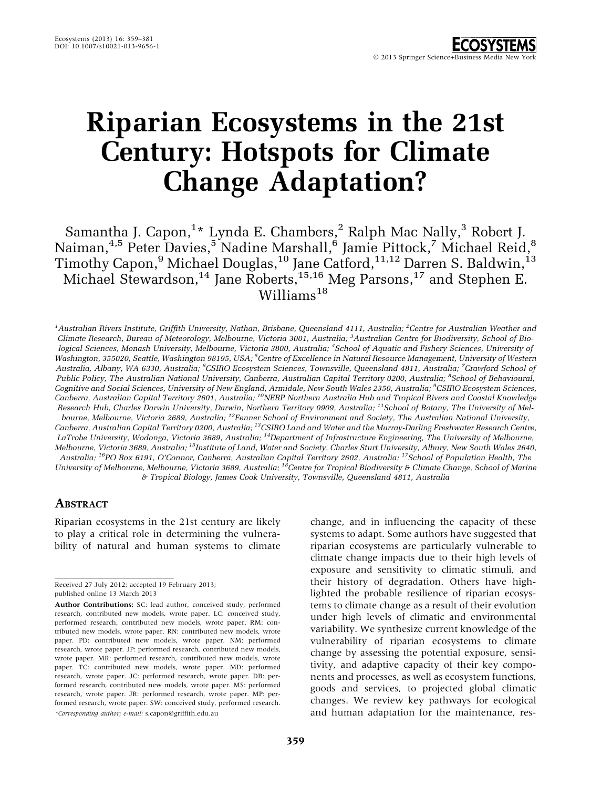# Riparian Ecosystems in the 21st Century: Hotspots for Climate Change Adaptation?

Samantha J. Capon,<sup>1</sup>\* Lynda E. Chambers,<sup>2</sup> Ralph Mac Nally,<sup>3</sup> Robert J. Naiman,<sup>4,5</sup> Peter Davies,<sup>5</sup> Nadine Marshall,<sup>6</sup> Jamie Pittock,<sup>7</sup> Michael Reid,<sup>8</sup> Timothy Capon, $^9$  Michael Douglas, $^{10}$  Jane Catford, $^{11,12}$  Darren S. Baldwin, $^{13}$ Michael Stewardson,  $^{14}$  Jane Roberts,  $^{15,16}$  Meg Parsons,  $^{17}$  and Stephen E.  $\text{Williams}^\text{18}$ 

<sup>1</sup>Australian Rivers Institute, Griffith University, Nathan, Brisbane, Queensland 4111, Australia; <sup>2</sup>Centre for Australian Weather and Climate Research, Bureau of Meteorology, Melbourne, Victoria 3001, Australia; <sup>3</sup>Australian Centre for Biodiversity, School of Biological Sciences, Monash University, Melbourne, Victoria 3800, Australia; <sup>4</sup>School of Aquatic and Fishery Sciences, University of Washington, 355020, Seattle, Washington 98195, USA; <sup>5</sup>Centre of Excellence in Natural Resource Management, University of Western Australia, Albany, WA 6330, Australia; <sup>6</sup>CSIRO Ecosystem Sciences, Townsville, Queensland 4811, Australia; <sup>7</sup>Crawford School of Public Policy, The Australian National University, Canberra, Australian Capital Territory 0200, Australia; <sup>8</sup>School of Behavioural, Cognitive and Social Sciences, University of New England, Armidale, New South Wales 2350, Australia; <sup>9</sup>CSIRO Ecosystem Sciences, Canberra, Australian Capital Territory 2601, Australia; <sup>10</sup>NERP Northern Australia Hub and Tropical Rivers and Coastal Knowledge Research Hub, Charles Darwin University, Darwin, Northern Territory 0909, Australia; <sup>11</sup>School of Botany, The University of Melbourne, Melbourne, Victoria 2689, Australia; <sup>12</sup>Fenner School of Environment and Society, The Australian National University, Canberra, Australian Capital Territory 0200, Australia; <sup>13</sup>CSIRO Land and Water and the Murray-Darling Freshwater Research Centre, LaTrobe University, Wodonga, Victoria 3689, Australia; <sup>14</sup>Department of Infrastructure Engineering, The University of Melbourne, Melbourne, Victoria 3689, Australia; 15Institute of Land, Water and Society, Charles Sturt University, Albury, New South Wales 2640,

Australia; <sup>16</sup>PO Box 6191, O'Connor, Canberra, Australian Capital Territory 2602, Australia; <sup>17</sup>School of Population Health, The University of Melbourne, Melbourne, Victoria 3689, Australia; <sup>18</sup>Centre for Tropical Biodiversity & Climate Change, School of Marine & Tropical Biology, James Cook University, Townsville, Queensland 4811, Australia

## **ABSTRACT**

Riparian ecosystems in the 21st century are likely to play a critical role in determining the vulnerability of natural and human systems to climate

Received 27 July 2012; accepted 19 February 2013; published online 13 March 2013

change, and in influencing the capacity of these systems to adapt. Some authors have suggested that riparian ecosystems are particularly vulnerable to climate change impacts due to their high levels of exposure and sensitivity to climatic stimuli, and their history of degradation. Others have highlighted the probable resilience of riparian ecosystems to climate change as a result of their evolution under high levels of climatic and environmental variability. We synthesize current knowledge of the vulnerability of riparian ecosystems to climate change by assessing the potential exposure, sensitivity, and adaptive capacity of their key components and processes, as well as ecosystem functions, goods and services, to projected global climatic changes. We review key pathways for ecological and human adaptation for the maintenance, res-

Author Contributions: SC: lead author, conceived study, performed research, contributed new models, wrote paper. LC: conceived study, performed research, contributed new models, wrote paper. RM: contributed new models, wrote paper. RN: contributed new models, wrote paper. PD: contributed new models, wrote paper. NM: performed research, wrote paper. JP: performed research, contributed new models, wrote paper. MR: performed research, contributed new models, wrote paper. TC: contributed new models, wrote paper. MD: performed research, wrote paper. JC: performed research, wrote paper. DB: performed research, contributed new models, wrote paper. MS: performed research, wrote paper. JR: performed research, wrote paper. MP: performed research, wrote paper. SW: conceived study, performed research. \*Corresponding author; e-mail: s.capon@griffith.edu.au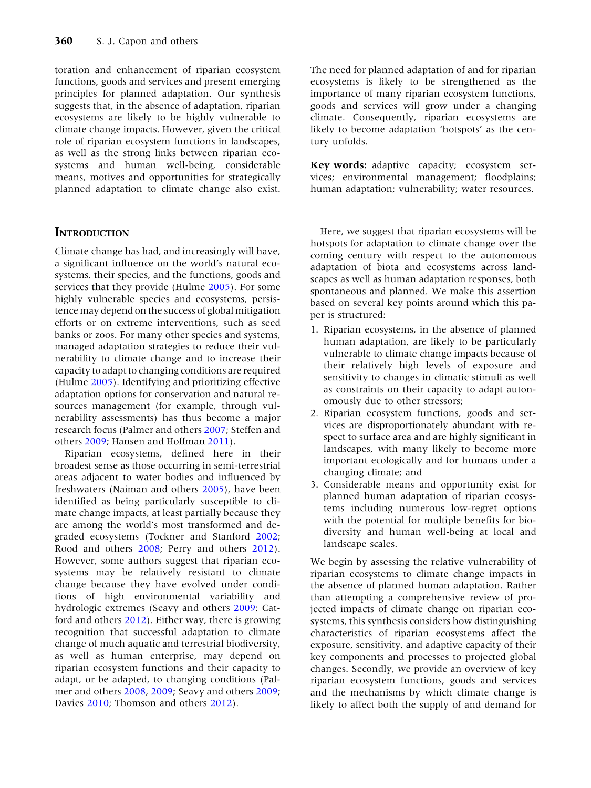toration and enhancement of riparian ecosystem functions, goods and services and present emerging principles for planned adaptation. Our synthesis suggests that, in the absence of adaptation, riparian ecosystems are likely to be highly vulnerable to climate change impacts. However, given the critical role of riparian ecosystem functions in landscapes, as well as the strong links between riparian ecosystems and human well-being, considerable means, motives and opportunities for strategically planned adaptation to climate change also exist.

#### **INTRODUCTION**

Climate change has had, and increasingly will have, a significant influence on the world's natural ecosystems, their species, and the functions, goods and services that they provide (Hulme [2005](#page-20-0)). For some highly vulnerable species and ecosystems, persistence may depend on the success of global mitigation efforts or on extreme interventions, such as seed banks or zoos. For many other species and systems, managed adaptation strategies to reduce their vulnerability to climate change and to increase their capacity to adapt to changing conditions are required (Hulme [2005](#page-20-0)). Identifying and prioritizing effective adaptation options for conservation and natural resources management (for example, through vulnerability assessments) has thus become a major research focus (Palmer and others [2007](#page-21-0); Steffen and others [2009](#page-21-0); Hansen and Hoffman [2011\)](#page-20-0).

Riparian ecosystems, defined here in their broadest sense as those occurring in semi-terrestrial areas adjacent to water bodies and influenced by freshwaters (Naiman and others [2005](#page-20-0)), have been identified as being particularly susceptible to climate change impacts, at least partially because they are among the world's most transformed and degraded ecosystems (Tockner and Stanford [2002](#page-21-0); Rood and others [2008;](#page-21-0) Perry and others [2012](#page-21-0)). However, some authors suggest that riparian ecosystems may be relatively resistant to climate change because they have evolved under conditions of high environmental variability and hydrologic extremes (Seavy and others [2009;](#page-21-0) Catford and others [2012](#page-19-0)). Either way, there is growing recognition that successful adaptation to climate change of much aquatic and terrestrial biodiversity, as well as human enterprise, may depend on riparian ecosystem functions and their capacity to adapt, or be adapted, to changing conditions (Palmer and others [2008](#page-21-0), [2009;](#page-21-0) Seavy and others [2009](#page-21-0); Davies [2010](#page-19-0); Thomson and others [2012](#page-21-0)).

The need for planned adaptation of and for riparian ecosystems is likely to be strengthened as the importance of many riparian ecosystem functions, goods and services will grow under a changing climate. Consequently, riparian ecosystems are likely to become adaptation 'hotspots' as the century unfolds.

Key words: adaptive capacity; ecosystem services; environmental management; floodplains; human adaptation; vulnerability; water resources.

Here, we suggest that riparian ecosystems will be hotspots for adaptation to climate change over the coming century with respect to the autonomous adaptation of biota and ecosystems across landscapes as well as human adaptation responses, both spontaneous and planned. We make this assertion based on several key points around which this paper is structured:

- 1. Riparian ecosystems, in the absence of planned human adaptation, are likely to be particularly vulnerable to climate change impacts because of their relatively high levels of exposure and sensitivity to changes in climatic stimuli as well as constraints on their capacity to adapt autonomously due to other stressors;
- 2. Riparian ecosystem functions, goods and services are disproportionately abundant with respect to surface area and are highly significant in landscapes, with many likely to become more important ecologically and for humans under a changing climate; and
- 3. Considerable means and opportunity exist for planned human adaptation of riparian ecosystems including numerous low-regret options with the potential for multiple benefits for biodiversity and human well-being at local and landscape scales.

We begin by assessing the relative vulnerability of riparian ecosystems to climate change impacts in the absence of planned human adaptation. Rather than attempting a comprehensive review of projected impacts of climate change on riparian ecosystems, this synthesis considers how distinguishing characteristics of riparian ecosystems affect the exposure, sensitivity, and adaptive capacity of their key components and processes to projected global changes. Secondly, we provide an overview of key riparian ecosystem functions, goods and services and the mechanisms by which climate change is likely to affect both the supply of and demand for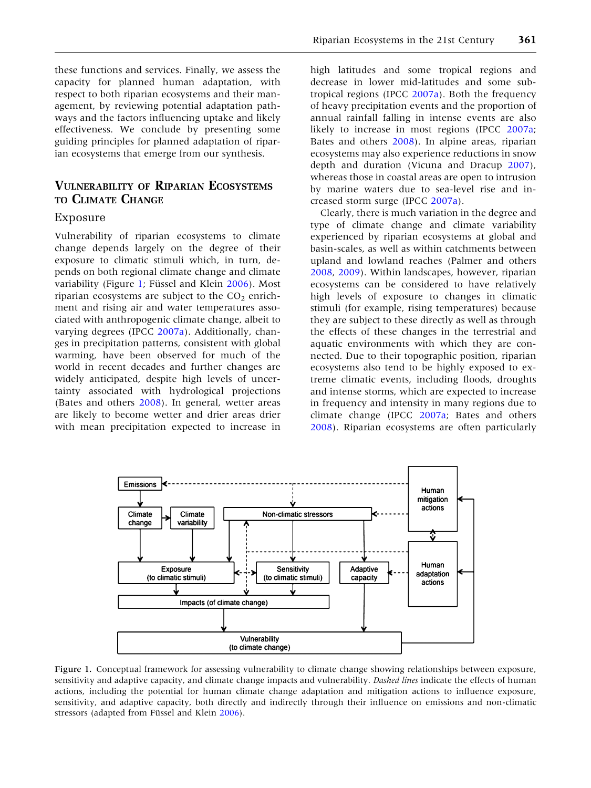<span id="page-2-0"></span>these functions and services. Finally, we assess the capacity for planned human adaptation, with respect to both riparian ecosystems and their management, by reviewing potential adaptation pathways and the factors influencing uptake and likely effectiveness. We conclude by presenting some guiding principles for planned adaptation of riparian ecosystems that emerge from our synthesis.

## VULNERABILITY OF RIPARIAN ECOSYSTEMS TO CLIMATE CHANGE

#### Exposure

Vulnerability of riparian ecosystems to climate change depends largely on the degree of their exposure to climatic stimuli which, in turn, depends on both regional climate change and climate variability (Figure 1; Füssel and Klein [2006\)](#page-20-0). Most riparian ecosystems are subject to the  $CO<sub>2</sub>$  enrichment and rising air and water temperatures associated with anthropogenic climate change, albeit to varying degrees (IPCC [2007a](#page-20-0)). Additionally, changes in precipitation patterns, consistent with global warming, have been observed for much of the world in recent decades and further changes are widely anticipated, despite high levels of uncertainty associated with hydrological projections (Bates and others [2008\)](#page-19-0). In general, wetter areas are likely to become wetter and drier areas drier with mean precipitation expected to increase in

high latitudes and some tropical regions and decrease in lower mid-latitudes and some subtropical regions (IPCC [2007a](#page-20-0)). Both the frequency of heavy precipitation events and the proportion of annual rainfall falling in intense events are also likely to increase in most regions (IPCC [2007a](#page-20-0); Bates and others [2008](#page-19-0)). In alpine areas, riparian ecosystems may also experience reductions in snow depth and duration (Vicuna and Dracup [2007](#page-21-0)), whereas those in coastal areas are open to intrusion by marine waters due to sea-level rise and increased storm surge (IPCC [2007a](#page-20-0)).

Clearly, there is much variation in the degree and type of climate change and climate variability experienced by riparian ecosystems at global and basin-scales, as well as within catchments between upland and lowland reaches (Palmer and others [2008,](#page-21-0) [2009\)](#page-21-0). Within landscapes, however, riparian ecosystems can be considered to have relatively high levels of exposure to changes in climatic stimuli (for example, rising temperatures) because they are subject to these directly as well as through the effects of these changes in the terrestrial and aquatic environments with which they are connected. Due to their topographic position, riparian ecosystems also tend to be highly exposed to extreme climatic events, including floods, droughts and intense storms, which are expected to increase in frequency and intensity in many regions due to climate change (IPCC [2007a;](#page-20-0) Bates and others [2008\)](#page-19-0). Riparian ecosystems are often particularly



Figure 1. Conceptual framework for assessing vulnerability to climate change showing relationships between exposure, sensitivity and adaptive capacity, and climate change impacts and vulnerability. *Dashed lines* indicate the effects of human actions, including the potential for human climate change adaptation and mitigation actions to influence exposure, sensitivity, and adaptive capacity, both directly and indirectly through their influence on emissions and non-climatic stressors (adapted from Füssel and Klein [2006](#page-20-0)).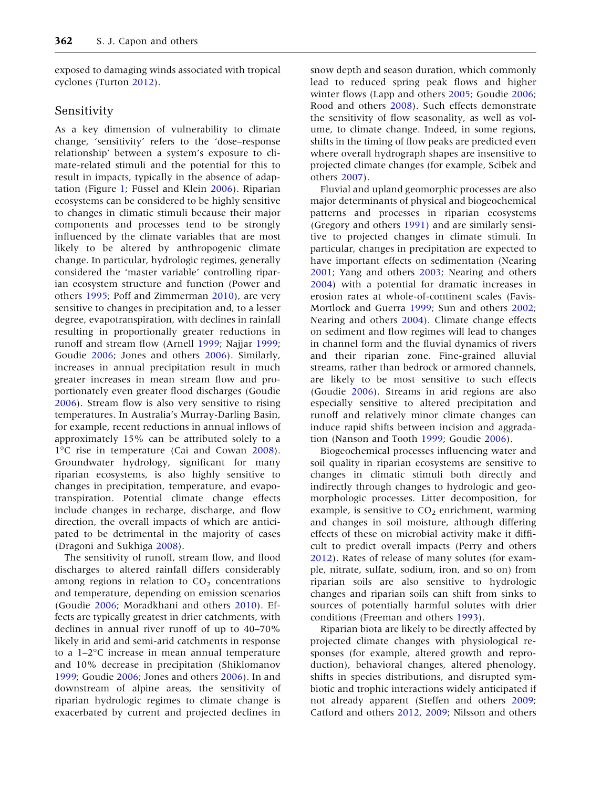exposed to damaging winds associated with tropical cyclones (Turton [2012\)](#page-21-0).

#### Sensitivity

As a key dimension of vulnerability to climate change, 'sensitivity' refers to the 'dose–response relationship' between a system's exposure to climate-related stimuli and the potential for this to result in impacts, typically in the absence of adap-tation (Figure [1;](#page-2-0) Füssel and Klein  $2006$ ). Riparian ecosystems can be considered to be highly sensitive to changes in climatic stimuli because their major components and processes tend to be strongly influenced by the climate variables that are most likely to be altered by anthropogenic climate change. In particular, hydrologic regimes, generally considered the 'master variable' controlling riparian ecosystem structure and function (Power and others [1995;](#page-21-0) Poff and Zimmerman [2010](#page-21-0)), are very sensitive to changes in precipitation and, to a lesser degree, evapotranspiration, with declines in rainfall resulting in proportionally greater reductions in runoff and stream flow (Arnell [1999;](#page-19-0) Najjar [1999](#page-20-0); Goudie [2006](#page-20-0); Jones and others [2006\)](#page-20-0). Similarly, increases in annual precipitation result in much greater increases in mean stream flow and proportionately even greater flood discharges (Goudie [2006\)](#page-20-0). Stream flow is also very sensitive to rising temperatures. In Australia's Murray-Darling Basin, for example, recent reductions in annual inflows of approximately 15% can be attributed solely to a 1<sup>o</sup>C rise in temperature (Cai and Cowan [2008](#page-19-0)). Groundwater hydrology, significant for many riparian ecosystems, is also highly sensitive to changes in precipitation, temperature, and evapotranspiration. Potential climate change effects include changes in recharge, discharge, and flow direction, the overall impacts of which are anticipated to be detrimental in the majority of cases (Dragoni and Sukhiga [2008\)](#page-20-0).

The sensitivity of runoff, stream flow, and flood discharges to altered rainfall differs considerably among regions in relation to  $CO<sub>2</sub>$  concentrations and temperature, depending on emission scenarios (Goudie [2006](#page-20-0); Moradkhani and others [2010](#page-20-0)). Effects are typically greatest in drier catchments, with declines in annual river runoff of up to 40–70% likely in arid and semi-arid catchments in response to a  $1-2^{\circ}$ C increase in mean annual temperature and 10% decrease in precipitation (Shiklomanov [1999;](#page-21-0) Goudie [2006](#page-20-0); Jones and others [2006](#page-20-0)). In and downstream of alpine areas, the sensitivity of riparian hydrologic regimes to climate change is exacerbated by current and projected declines in

snow depth and season duration, which commonly lead to reduced spring peak flows and higher winter flows (Lapp and others [2005;](#page-20-0) Goudie [2006](#page-20-0); Rood and others [2008](#page-21-0)). Such effects demonstrate the sensitivity of flow seasonality, as well as volume, to climate change. Indeed, in some regions, shifts in the timing of flow peaks are predicted even where overall hydrograph shapes are insensitive to projected climate changes (for example, Scibek and others [2007\)](#page-21-0).

Fluvial and upland geomorphic processes are also major determinants of physical and biogeochemical patterns and processes in riparian ecosystems (Gregory and others [1991\)](#page-20-0) and are similarly sensitive to projected changes in climate stimuli. In particular, changes in precipitation are expected to have important effects on sedimentation (Nearing [2001;](#page-21-0) Yang and others [2003;](#page-22-0) Nearing and others [2004\)](#page-21-0) with a potential for dramatic increases in erosion rates at whole-of-continent scales (Favis-Mortlock and Guerra [1999;](#page-20-0) Sun and others [2002](#page-21-0); Nearing and others [2004\)](#page-21-0). Climate change effects on sediment and flow regimes will lead to changes in channel form and the fluvial dynamics of rivers and their riparian zone. Fine-grained alluvial streams, rather than bedrock or armored channels, are likely to be most sensitive to such effects (Goudie [2006](#page-20-0)). Streams in arid regions are also especially sensitive to altered precipitation and runoff and relatively minor climate changes can induce rapid shifts between incision and aggradation (Nanson and Tooth [1999](#page-21-0); Goudie [2006\)](#page-20-0).

Biogeochemical processes influencing water and soil quality in riparian ecosystems are sensitive to changes in climatic stimuli both directly and indirectly through changes to hydrologic and geomorphologic processes. Litter decomposition, for example, is sensitive to  $CO<sub>2</sub>$  enrichment, warming and changes in soil moisture, although differing effects of these on microbial activity make it difficult to predict overall impacts (Perry and others [2012\)](#page-21-0). Rates of release of many solutes (for example, nitrate, sulfate, sodium, iron, and so on) from riparian soils are also sensitive to hydrologic changes and riparian soils can shift from sinks to sources of potentially harmful solutes with drier conditions (Freeman and others [1993\)](#page-20-0).

Riparian biota are likely to be directly affected by projected climate changes with physiological responses (for example, altered growth and reproduction), behavioral changes, altered phenology, shifts in species distributions, and disrupted symbiotic and trophic interactions widely anticipated if not already apparent (Steffen and others [2009](#page-21-0); Catford and others [2012](#page-19-0), [2009;](#page-21-0) Nilsson and others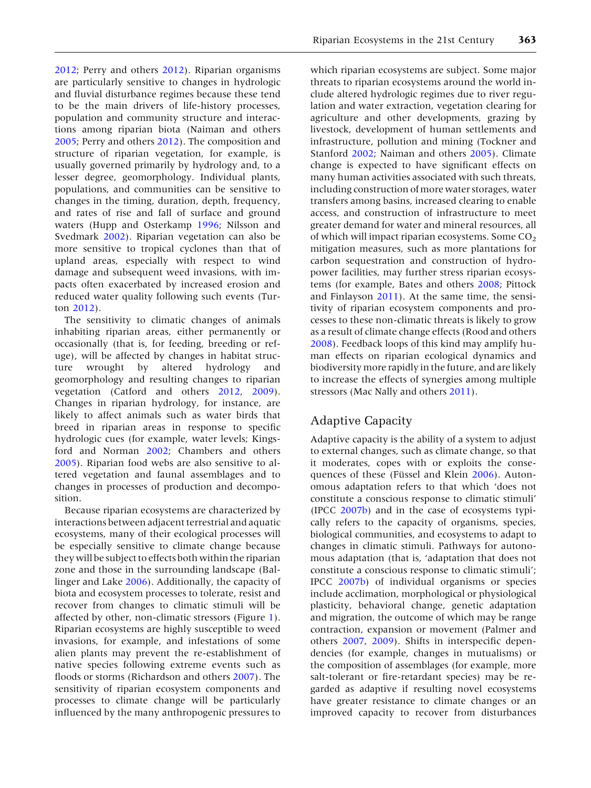[2012;](#page-21-0) Perry and others [2012](#page-21-0)). Riparian organisms are particularly sensitive to changes in hydrologic and fluvial disturbance regimes because these tend to be the main drivers of life-history processes, population and community structure and interactions among riparian biota (Naiman and others [2005;](#page-20-0) Perry and others [2012](#page-21-0)). The composition and structure of riparian vegetation, for example, is usually governed primarily by hydrology and, to a lesser degree, geomorphology. Individual plants, populations, and communities can be sensitive to changes in the timing, duration, depth, frequency, and rates of rise and fall of surface and ground waters (Hupp and Osterkamp [1996](#page-20-0); Nilsson and Svedmark [2002\)](#page-21-0). Riparian vegetation can also be more sensitive to tropical cyclones than that of upland areas, especially with respect to wind damage and subsequent weed invasions, with impacts often exacerbated by increased erosion and reduced water quality following such events (Turton [2012](#page-21-0)).

The sensitivity to climatic changes of animals inhabiting riparian areas, either permanently or occasionally (that is, for feeding, breeding or refuge), will be affected by changes in habitat structure wrought by altered hydrology and geomorphology and resulting changes to riparian vegetation (Catford and others [2012](#page-19-0), [2009](#page-21-0)). Changes in riparian hydrology, for instance, are likely to affect animals such as water birds that breed in riparian areas in response to specific hydrologic cues (for example, water levels; Kingsford and Norman [2002](#page-20-0); Chambers and others [2005\)](#page-19-0). Riparian food webs are also sensitive to altered vegetation and faunal assemblages and to changes in processes of production and decomposition.

Because riparian ecosystems are characterized by interactions between adjacent terrestrial and aquatic ecosystems, many of their ecological processes will be especially sensitive to climate change because they will be subject to effects both within the riparian zone and those in the surrounding landscape (Ballinger and Lake [2006](#page-19-0)). Additionally, the capacity of biota and ecosystem processes to tolerate, resist and recover from changes to climatic stimuli will be affected by other, non-climatic stressors (Figure [1](#page-2-0)). Riparian ecosystems are highly susceptible to weed invasions, for example, and infestations of some alien plants may prevent the re-establishment of native species following extreme events such as floods or storms (Richardson and others [2007](#page-21-0)). The sensitivity of riparian ecosystem components and processes to climate change will be particularly influenced by the many anthropogenic pressures to

which riparian ecosystems are subject. Some major threats to riparian ecosystems around the world include altered hydrologic regimes due to river regulation and water extraction, vegetation clearing for agriculture and other developments, grazing by livestock, development of human settlements and infrastructure, pollution and mining (Tockner and Stanford [2002;](#page-21-0) Naiman and others [2005](#page-20-0)). Climate change is expected to have significant effects on many human activities associated with such threats, including construction of more water storages, water transfers among basins, increased clearing to enable access, and construction of infrastructure to meet greater demand for water and mineral resources, all of which will impact riparian ecosystems. Some  $CO<sub>2</sub>$ mitigation measures, such as more plantations for carbon sequestration and construction of hydropower facilities, may further stress riparian ecosystems (for example, Bates and others [2008](#page-19-0); Pittock and Finlayson [2011\)](#page-21-0). At the same time, the sensitivity of riparian ecosystem components and processes to these non-climatic threats is likely to grow as a result of climate change effects (Rood and others [2008\)](#page-21-0). Feedback loops of this kind may amplify human effects on riparian ecological dynamics and biodiversity more rapidly in the future, and are likely to increase the effects of synergies among multiple stressors (Mac Nally and others [2011\)](#page-20-0).

## Adaptive Capacity

Adaptive capacity is the ability of a system to adjust to external changes, such as climate change, so that it moderates, copes with or exploits the conse-quences of these (Füssel and Klein [2006](#page-20-0)). Autonomous adaptation refers to that which 'does not constitute a conscious response to climatic stimuli' (IPCC [2007b\)](#page-20-0) and in the case of ecosystems typically refers to the capacity of organisms, species, biological communities, and ecosystems to adapt to changes in climatic stimuli. Pathways for autonomous adaptation (that is, 'adaptation that does not constitute a conscious response to climatic stimuli'; IPCC [2007b](#page-20-0)) of individual organisms or species include acclimation, morphological or physiological plasticity, behavioral change, genetic adaptation and migration, the outcome of which may be range contraction, expansion or movement (Palmer and others [2007](#page-21-0), [2009\)](#page-21-0). Shifts in interspecific dependencies (for example, changes in mutualisms) or the composition of assemblages (for example, more salt-tolerant or fire-retardant species) may be regarded as adaptive if resulting novel ecosystems have greater resistance to climate changes or an improved capacity to recover from disturbances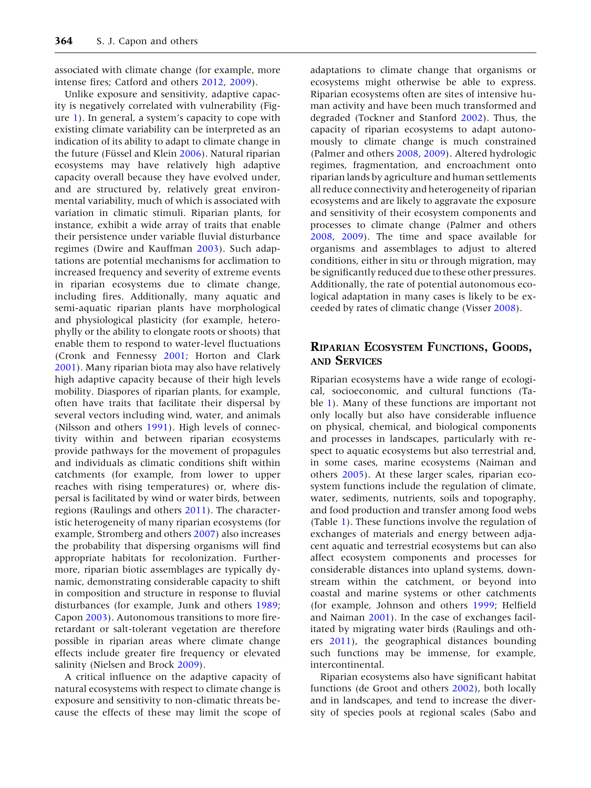associated with climate change (for example, more intense fires; Catford and others [2012,](#page-19-0) [2009\)](#page-21-0).

Unlike exposure and sensitivity, adaptive capacity is negatively correlated with vulnerability (Figure [1\)](#page-2-0). In general, a system's capacity to cope with existing climate variability can be interpreted as an indication of its ability to adapt to climate change in the future (Füssel and Klein [2006](#page-20-0)). Natural riparian ecosystems may have relatively high adaptive capacity overall because they have evolved under, and are structured by, relatively great environmental variability, much of which is associated with variation in climatic stimuli. Riparian plants, for instance, exhibit a wide array of traits that enable their persistence under variable fluvial disturbance regimes (Dwire and Kauffman [2003\)](#page-20-0). Such adaptations are potential mechanisms for acclimation to increased frequency and severity of extreme events in riparian ecosystems due to climate change, including fires. Additionally, many aquatic and semi-aquatic riparian plants have morphological and physiological plasticity (for example, heterophylly or the ability to elongate roots or shoots) that enable them to respond to water-level fluctuations (Cronk and Fennessy [2001;](#page-19-0) Horton and Clark [2001\)](#page-20-0). Many riparian biota may also have relatively high adaptive capacity because of their high levels mobility. Diaspores of riparian plants, for example, often have traits that facilitate their dispersal by several vectors including wind, water, and animals (Nilsson and others [1991](#page-21-0)). High levels of connectivity within and between riparian ecosystems provide pathways for the movement of propagules and individuals as climatic conditions shift within catchments (for example, from lower to upper reaches with rising temperatures) or, where dispersal is facilitated by wind or water birds, between regions (Raulings and others [2011\)](#page-21-0). The characteristic heterogeneity of many riparian ecosystems (for example, Stromberg and others [2007\)](#page-21-0) also increases the probability that dispersing organisms will find appropriate habitats for recolonization. Furthermore, riparian biotic assemblages are typically dynamic, demonstrating considerable capacity to shift in composition and structure in response to fluvial disturbances (for example, Junk and others [1989](#page-20-0); Capon [2003](#page-19-0)). Autonomous transitions to more fireretardant or salt-tolerant vegetation are therefore possible in riparian areas where climate change effects include greater fire frequency or elevated salinity (Nielsen and Brock [2009](#page-21-0)).

A critical influence on the adaptive capacity of natural ecosystems with respect to climate change is exposure and sensitivity to non-climatic threats because the effects of these may limit the scope of

adaptations to climate change that organisms or ecosystems might otherwise be able to express. Riparian ecosystems often are sites of intensive human activity and have been much transformed and degraded (Tockner and Stanford [2002](#page-21-0)). Thus, the capacity of riparian ecosystems to adapt autonomously to climate change is much constrained (Palmer and others [2008,](#page-21-0) [2009\)](#page-21-0). Altered hydrologic regimes, fragmentation, and encroachment onto riparian lands by agriculture and human settlements all reduce connectivity and heterogeneity of riparian ecosystems and are likely to aggravate the exposure and sensitivity of their ecosystem components and processes to climate change (Palmer and others [2008,](#page-21-0) [2009](#page-21-0)). The time and space available for organisms and assemblages to adjust to altered conditions, either in situ or through migration, may be significantly reduced due to these other pressures. Additionally, the rate of potential autonomous ecological adaptation in many cases is likely to be exceeded by rates of climatic change (Visser [2008](#page-22-0)).

## RIPARIAN ECOSYSTEM FUNCTIONS, GOODS, AND SERVICES

Riparian ecosystems have a wide range of ecological, socioeconomic, and cultural functions (Table [1\)](#page-6-0). Many of these functions are important not only locally but also have considerable influence on physical, chemical, and biological components and processes in landscapes, particularly with respect to aquatic ecosystems but also terrestrial and, in some cases, marine ecosystems (Naiman and others [2005\)](#page-20-0). At these larger scales, riparian ecosystem functions include the regulation of climate, water, sediments, nutrients, soils and topography, and food production and transfer among food webs (Table [1](#page-6-0)). These functions involve the regulation of exchanges of materials and energy between adjacent aquatic and terrestrial ecosystems but can also affect ecosystem components and processes for considerable distances into upland systems, downstream within the catchment, or beyond into coastal and marine systems or other catchments (for example, Johnson and others [1999](#page-20-0); Helfield and Naiman [2001\)](#page-20-0). In the case of exchanges facilitated by migrating water birds (Raulings and others [2011](#page-21-0)), the geographical distances bounding such functions may be immense, for example, intercontinental.

Riparian ecosystems also have significant habitat functions (de Groot and others [2002](#page-20-0)), both locally and in landscapes, and tend to increase the diversity of species pools at regional scales (Sabo and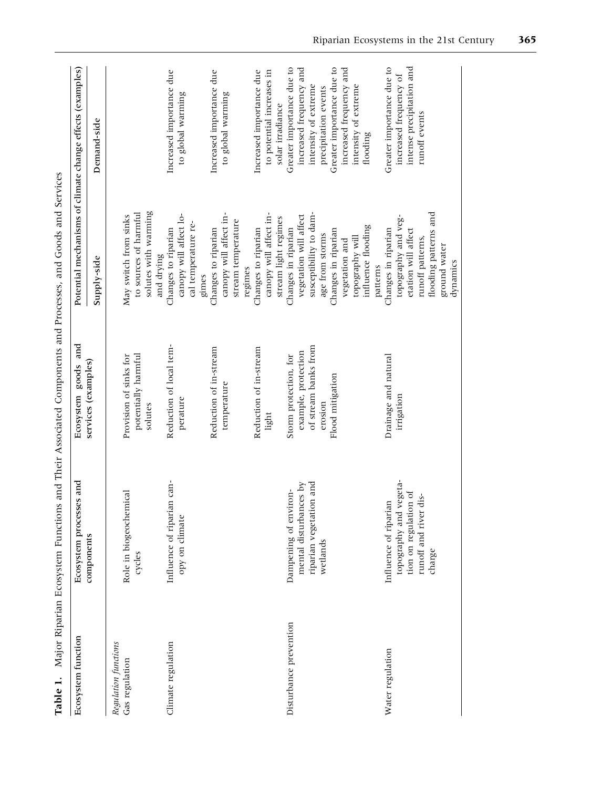<span id="page-6-0"></span>

| Table 1.                               | Major Riparian Ecosystem Functions and Their Associated Components and Processes, and Goods and Services          |                                                                                                     |                                                                                                                                                                                          |                                                                                                                                                                                                  |
|----------------------------------------|-------------------------------------------------------------------------------------------------------------------|-----------------------------------------------------------------------------------------------------|------------------------------------------------------------------------------------------------------------------------------------------------------------------------------------------|--------------------------------------------------------------------------------------------------------------------------------------------------------------------------------------------------|
| Ecosystem function                     | Ecosystem processes and                                                                                           | and<br>goods<br>Ecosystem                                                                           |                                                                                                                                                                                          | Potential mechanisms of climate change effects (examples)                                                                                                                                        |
|                                        | components                                                                                                        | services (examples)                                                                                 | Supply-side                                                                                                                                                                              | Demand-side                                                                                                                                                                                      |
| Regulation functions<br>Gas regulation | Role in biogeochemical<br>cycles                                                                                  | potentially harmful<br>Provision of sinks for<br>solutes                                            | solutes with warming<br>to sources of harmful<br>May switch from sinks<br>and drying                                                                                                     |                                                                                                                                                                                                  |
| Climate regulation                     | Influence of riparian can-<br>opy on climate                                                                      | Reduction of local tem-<br>perature                                                                 | canopy will affect lo-<br>cal temperature re-<br>Changes to riparian<br>gimes                                                                                                            | Increased importance due<br>to global warming                                                                                                                                                    |
|                                        |                                                                                                                   | Reduction of in-stream<br>temperature                                                               | canopy will affect in-<br>stream temperature<br>Changes to riparian<br>regimes                                                                                                           | Increased importance due<br>to global warming                                                                                                                                                    |
|                                        |                                                                                                                   | Reduction of in-stream<br>light                                                                     | canopy will affect in-<br>stream light regimes<br>Changes to riparian                                                                                                                    | to potential increases in<br>Increased importance due<br>solar irradiance                                                                                                                        |
| Disturbance prevention                 | mental disturbances by<br>riparian vegetation and<br>Dampening of environ-<br>wetlands                            | of stream banks from<br>example, protection<br>Storm protection, for<br>Flood mitigation<br>erosion | susceptibility to dam-<br>vegetation will affect<br>influence flooding<br>Changes in riparian<br>Changes in riparian<br>age from storms<br>topography will<br>vegetation and<br>patterns | increased frequency and<br>Greater importance due to<br>increased frequency and<br>Greater importance due to<br>intensity of extreme<br>intensity of extreme<br>precipitation events<br>flooding |
| Water regulation                       | vegeta-<br>tion on regulation of<br>dis-<br>Influence of riparian<br>runoff and river<br>topography and<br>charge | Drainage and natural<br>irrigation                                                                  | flooding patterns and<br>topography and veg-<br>Changes in riparian<br>etation will affect<br>runoff patterns,<br>ground water<br>dynamics                                               | intense precipitation and<br>Greater importance due to<br>increased frequency of<br>runoff events                                                                                                |

Riparian Ecosystems in the 21st Century 365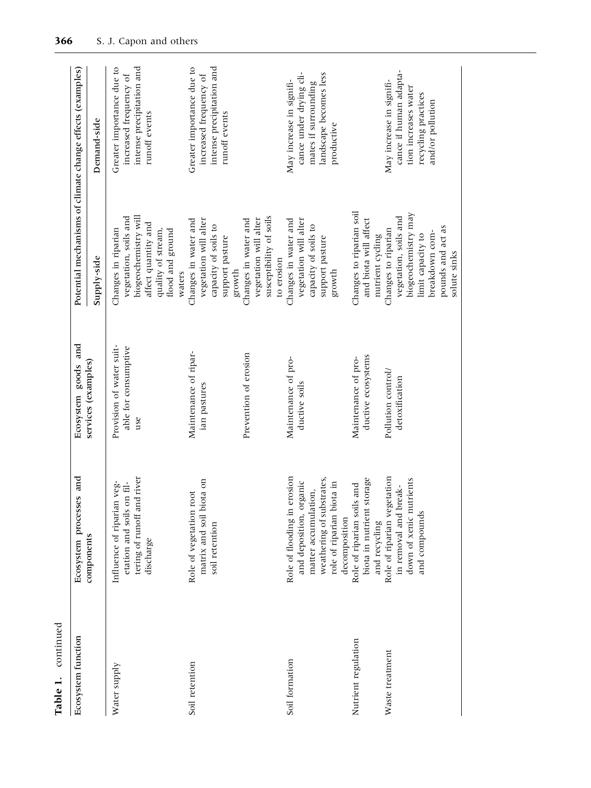| continued<br>Table 1. |                                                                                                                                                           |                                                                |                                                                                                                                                                                                  |                                                                                                                       |
|-----------------------|-----------------------------------------------------------------------------------------------------------------------------------------------------------|----------------------------------------------------------------|--------------------------------------------------------------------------------------------------------------------------------------------------------------------------------------------------|-----------------------------------------------------------------------------------------------------------------------|
| Ecosystem function    | Ecosystem processes and                                                                                                                                   | and<br>Ecosystem goods                                         |                                                                                                                                                                                                  | Potential mechanisms of climate change effects (examples)                                                             |
|                       | components                                                                                                                                                | services (examples)                                            | Supply-side                                                                                                                                                                                      | Demand-side                                                                                                           |
| Water supply          | tering of runoff and river<br>etation and soils on fil-<br>Influence of riparian veg-<br>discharge                                                        | Provision of water suit-<br>able for consumptive<br>use        | biogeochemistry will<br>vegetation, soils and<br>affect quantity and<br>Changes in riparian<br>flood and ground<br>quality of stream,<br>waters                                                  | intense precipitation and<br>Greater importance due to<br>increased frequency of<br>runoff events                     |
| Soil retention        | matrix and soil biota on<br>root<br>Role of vegetation<br>soil retention                                                                                  | Maintenance of ripar-<br>Prevention of erosion<br>ian pastures | susceptibility of soils<br>vegetation will alter<br>vegetation will alter<br>Changes in water and<br>Changes in water and<br>capacity of soils to<br>support pasture<br>$\operatorname*{growth}$ | intense precipitation and<br>Greater importance due to<br>increased frequency of<br>runoff events                     |
| Soil formation        | Role of flooding in erosion<br>weathering of substrates,<br>and deposition, organic<br>role of riparian biota in<br>matter accumulation,<br>decomposition | Maintenance of pro-<br>ductive soils                           | vegetation will alter<br>Changes in water and<br>capacity of soils to<br>support pasture<br>to erosion<br>growth                                                                                 | cance under drying cli-<br>landscape becomes less<br>May increase in signifi-<br>mates if surrounding<br>productive   |
| Nutrient regulation   | storage<br>Role of riparian soils and<br>biota in nutrient<br>and recycling                                                                               | ductive ecosystems<br>Maintenance of pro-                      | Changes to riparian soil<br>and biota will affect<br>nutrient cycling                                                                                                                            |                                                                                                                       |
| Waste treatment       | Role of riparian vegetation<br>down of xenic nutrients<br>in removal and break-<br>and compounds                                                          | Pollution control/<br>detoxification                           | biogeochemistry may<br>vegetation, soils and<br>pounds and act as<br>Changes to riparian<br>breakdown com-<br>limit capacity to<br>solute sinks                                                  | cance if human adapta-<br>May increase in signifi-<br>tion increases water<br>recycling practices<br>and/or pollution |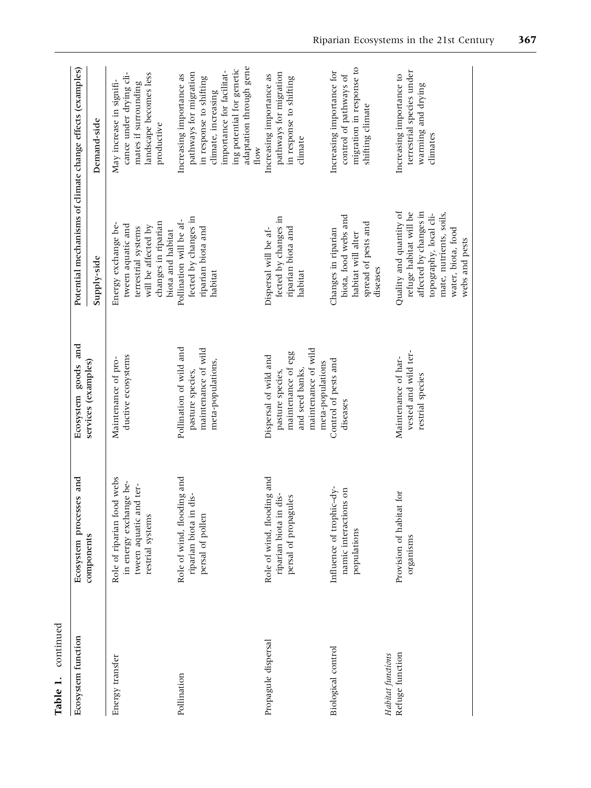| continued<br>Table 1.                |                                                                                                    |                                                                                                           |                                                                                                                                                                         |                                                                                                                                                                                           |
|--------------------------------------|----------------------------------------------------------------------------------------------------|-----------------------------------------------------------------------------------------------------------|-------------------------------------------------------------------------------------------------------------------------------------------------------------------------|-------------------------------------------------------------------------------------------------------------------------------------------------------------------------------------------|
| Ecosystem function                   | Ecosystem processes and                                                                            | and<br>Ecosystem goods                                                                                    |                                                                                                                                                                         | Potential mechanisms of climate change effects (examples)                                                                                                                                 |
|                                      | components                                                                                         | services (examples)                                                                                       | Supply-side                                                                                                                                                             | Demand-side                                                                                                                                                                               |
| Energy transfer                      | Role of riparian food webs<br>in energy exchange be-<br>tween aquatic and ter-<br>restrial systems | ductive ecosystems<br>Maintenance of pro-                                                                 | changes in riparian<br>Energy exchange be-<br>tween aquatic and<br>will be affected by<br>terrestrial systems                                                           | cance under drying cli-<br>landscape becomes less<br>May increase in signifi-<br>mates if surrounding<br>productive                                                                       |
| Pollination                          | Role of wind, flooding and<br>riparian biota in dis-<br>persal of pollen                           | Pollination of wild and<br>maintenance of wild<br>meta-populations,<br>pasture species,                   | fected by changes in<br>Pollination will be af-<br>riparian biota and<br>biota and habitat<br>habitat                                                                   | adaptation through gene<br>ing potential for genetic<br>importance for facilitat-<br>pathways for migration<br>Increasing importance as<br>in response to shifting<br>climate, increasing |
| Propagule dispersal                  | Role of wind, flooding and<br>riparian biota in dis-<br>persal of propagules                       | maintenance of wild<br>maintenance of egg<br>Dispersal of wild and<br>and seed banks,<br>pasture species, | fected by changes in<br>riparian biota and<br>Dispersal will be af-<br>habitat                                                                                          | pathways for migration<br>Increasing importance as<br>in response to shifting<br>dimate<br>flow                                                                                           |
| Biological control                   | Influence of trophic-dy-<br>namic interactions on<br>populations                                   | Control of pests and<br>meta-populations<br>diseases                                                      | biota, food webs and<br>spread of pests and<br>Changes in riparian<br>habitat will alter<br>diseases                                                                    | migration in response to<br>Increasing importance for<br>control of pathways of<br>shifting climate                                                                                       |
| Refuge function<br>Habitat functions | Provision of habitat for<br>organisms                                                              | vested and wild ter-<br>Maintenance of har-<br>restrial species                                           | Quality and quantity of<br>affected by changes in<br>refuge habitat will be<br>mate, nutrients, soils,<br>topography, local di-<br>water, biota, food<br>webs and pests | terrestrial species under<br>Increasing importance to<br>warming and drying<br>dimates                                                                                                    |

Riparian Ecosystems in the 21st Century 367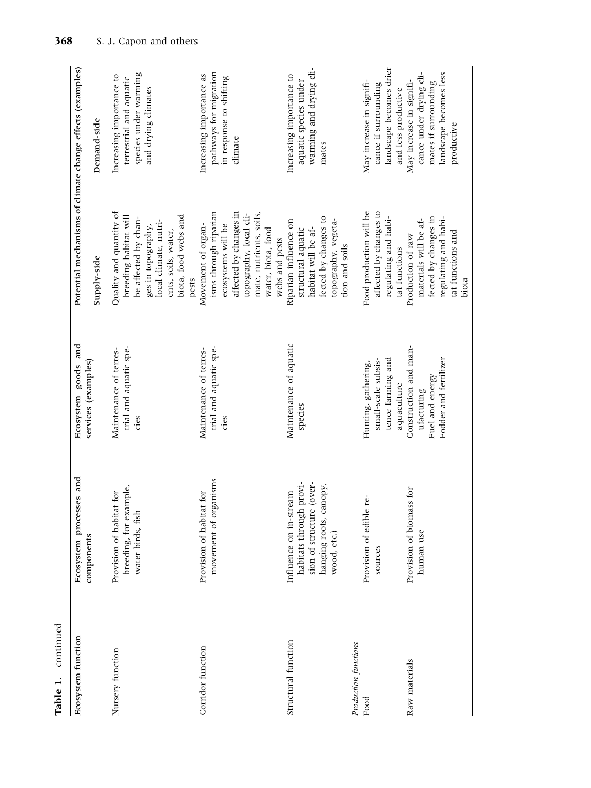| continued<br>Table 1.        |                                                                                                                           |                                                                                                |                                                                                                                                                                                 |                                                                                                                                            |
|------------------------------|---------------------------------------------------------------------------------------------------------------------------|------------------------------------------------------------------------------------------------|---------------------------------------------------------------------------------------------------------------------------------------------------------------------------------|--------------------------------------------------------------------------------------------------------------------------------------------|
| Ecosystem function           | Ecosystem processes and                                                                                                   | Ecosystem goods and                                                                            |                                                                                                                                                                                 | Potential mechanisms of climate change effects (examples)                                                                                  |
|                              | components                                                                                                                | services (examples)                                                                            | Supply-side                                                                                                                                                                     | Demand-side                                                                                                                                |
| Nursery function             | breeding, for example,<br>Provision of habitat for<br>water birds, fish                                                   | trial and aquatic spe-<br>Maintenance of terres-<br>cies                                       | Quality and quantity of<br>biota, food webs and<br>breeding habitat will<br>be affected by chan-<br>local climate, nutri-<br>ges in topography,<br>ents, soils, water,          | species under warming<br>Increasing importance to<br>terrestrial and aquatic<br>and drying climates                                        |
| Corridor function            | anisms<br>Provision of habitat for<br>movement of org                                                                     | trial and aquatic spe-<br>Maintenance of terres-<br>cies                                       | affected by changes in<br>isms through riparian<br>mate, nutrients, soils,<br>topography, local cli-<br>Movement of organ-<br>ecosystems will be<br>water, biota, food<br>pests | pathways for migration<br>Increasing importance as<br>in response to shifting<br>dimate                                                    |
| Structural function          | provi-<br>sion of structure (over-<br>hanging roots, canopy,<br>Influence on in-stream<br>habitats through<br>wood, etc.) | Maintenance of aquatic<br>species                                                              | fected by changes to<br>topography, vegeta-<br>Riparian influence on<br>habitat will be af-<br>structural aquatic<br>webs and pests<br>tion and soils                           | warming and drying cli-<br>Increasing importance to<br>aquatic species under<br>mates                                                      |
| Production functions<br>Food | re-<br>Provision of edible<br>sources                                                                                     | tence farming and<br>small-scale subsis-<br>Hunting, gathering,                                | Food production will be<br>affected by changes to<br>regulating and habi-                                                                                                       | landscape becomes drier<br>May increase in signifi-<br>cance if surrounding                                                                |
| Raw materials                | Provision of biomass for<br>human use                                                                                     | Construction and man-<br>Fodder and fertilizer<br>Fuel and energy<br>aquaculture<br>ufacturing | fected by changes in<br>regulating and habi-<br>materials will be af-<br>tat functions and<br>Production of raw<br>tat functions<br>biota                                       | cance under drying cli-<br>landscape becomes less<br>May increase in signifi-<br>mates if surrounding<br>and less productive<br>productive |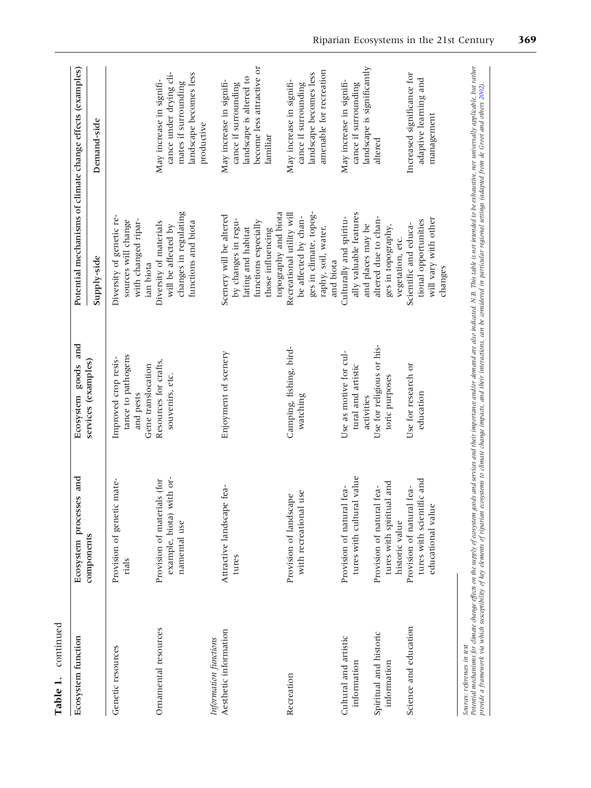| continued<br>Table 1.                          |                                                                             |                                                                               |                                                                                                                                           |                                                                                                                      |
|------------------------------------------------|-----------------------------------------------------------------------------|-------------------------------------------------------------------------------|-------------------------------------------------------------------------------------------------------------------------------------------|----------------------------------------------------------------------------------------------------------------------|
| Ecosystem function                             | Ecosystem processes and                                                     | Ecosystem goods and                                                           |                                                                                                                                           | Potential mechanisms of climate change effects (examples)                                                            |
|                                                | components                                                                  | services (examples)                                                           | Supply-side                                                                                                                               | Demand-side                                                                                                          |
| Genetic resources                              | Provision of genetic mate-<br>rials                                         | tance to pathogens<br>Improved crop resis-<br>Gene translocation<br>and pests | Diversity of genetic re-<br>with changed ripar-<br>sources will change<br>ian biota                                                       |                                                                                                                      |
| Ornamental resources                           | with or-<br>Provision of materials (for<br>example, biota)<br>namental use  | Resources for crafts,<br>souvenirs, etc.                                      | changes in regulating<br>Diversity of materials<br>functions and biota<br>will be affected by                                             | cance under drying cli-<br>landscape becomes less<br>May increase in signifi-<br>mates if surrounding<br>productive  |
| Aesthetic information<br>Information functions | Attractive landscape fea-<br>tures                                          | Enjoyment of scenery                                                          | topography and biota<br>Scenery will be altered<br>by changes in regu-<br>functions especially<br>lating and habitat<br>those influencing | become less attractive or<br>landscape is altered to<br>May increase in signifi-<br>cance if surrounding<br>familiar |
| Recreation                                     | with recreational use<br>Provision of landscape                             | Camping, fishing, bird-<br>watching                                           | ges in climate, topog-<br>Recreational utility will<br>be affected by chan-<br>raphy, soil, water,<br>and biota                           | amenable for recreation<br>landscape becomes less<br>May increase in signifi-<br>cance if surrounding                |
| Cultural and artistic<br>information           | tures with cultural value<br>Provision of natural fea-                      | Use as motive for cul-<br>tural and artistic<br>activities                    | ally valuable features<br>Culturally and spiritu-<br>and places may be                                                                    | landscape is significantly<br>May increase in signifi-<br>cance if surrounding                                       |
| Spiritual and historic<br>information          | tures with spiritual and<br>Provision of natural fea-<br>historic value     | Use for religious or his-<br>toric purposes                                   | altered due to chan-<br>ges in topography,<br>vegetation, etc.                                                                            | altered                                                                                                              |
| Science and education                          | tures with scientific and<br>Provision of natural fea-<br>educational value | Use for research or<br>education                                              | will vary with other<br>tional opportunities<br>Scientific and educa-<br>changes                                                          | Increased significance for<br>adaptive learning and<br>management                                                    |
|                                                |                                                                             |                                                                               |                                                                                                                                           |                                                                                                                      |

Sources: references in text

Soures: references in text<br>Potential mechanisms for climate change effects on the supply of ecosystem goods and strict and or and or also indicated. N.B. This table is not intended to be exhaustive, nor universally applica Potential mechanisms for climate change effects on the supply of ecosystem goods and some and their importance and or distanced. N.B. This table is not intended to be exhaustive, nor universally applicable, but rather provide a framework via which susceptibility of key elements of riparias cosystems to climate change impacts, and their interactions, can be considered in particular regional settings (adapted from de Groot and others 2002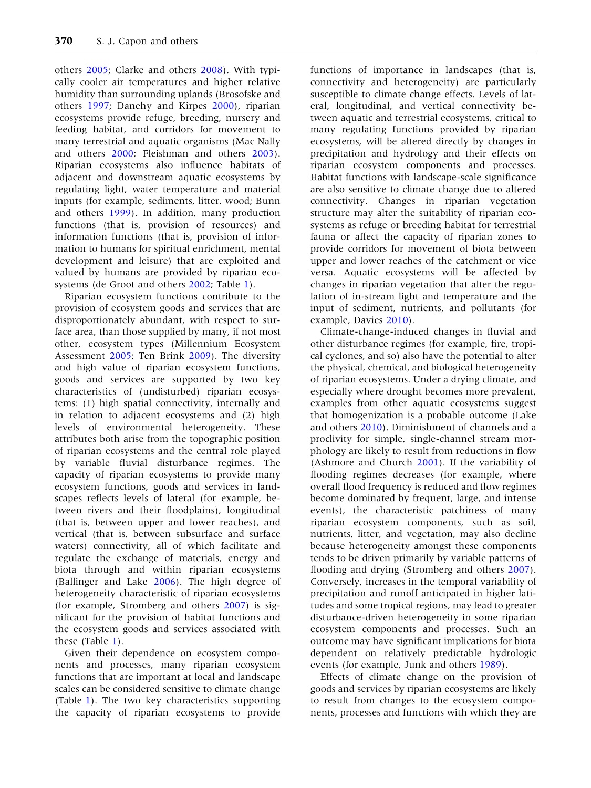others [2005;](#page-21-0) Clarke and others [2008\)](#page-19-0). With typically cooler air temperatures and higher relative humidity than surrounding uplands (Brosofske and others [1997;](#page-19-0) Danehy and Kirpes [2000](#page-19-0)), riparian ecosystems provide refuge, breeding, nursery and feeding habitat, and corridors for movement to many terrestrial and aquatic organisms (Mac Nally and others [2000](#page-20-0); Fleishman and others [2003](#page-20-0)). Riparian ecosystems also influence habitats of adjacent and downstream aquatic ecosystems by regulating light, water temperature and material inputs (for example, sediments, litter, wood; Bunn and others [1999\)](#page-19-0). In addition, many production functions (that is, provision of resources) and information functions (that is, provision of information to humans for spiritual enrichment, mental development and leisure) that are exploited and valued by humans are provided by riparian ecosystems (de Groot and others [2002;](#page-20-0) Table [1](#page-6-0)).

Riparian ecosystem functions contribute to the provision of ecosystem goods and services that are disproportionately abundant, with respect to surface area, than those supplied by many, if not most other, ecosystem types (Millennium Ecosystem Assessment [2005](#page-20-0); Ten Brink [2009\)](#page-21-0). The diversity and high value of riparian ecosystem functions, goods and services are supported by two key characteristics of (undisturbed) riparian ecosystems: (1) high spatial connectivity, internally and in relation to adjacent ecosystems and (2) high levels of environmental heterogeneity. These attributes both arise from the topographic position of riparian ecosystems and the central role played by variable fluvial disturbance regimes. The capacity of riparian ecosystems to provide many ecosystem functions, goods and services in landscapes reflects levels of lateral (for example, between rivers and their floodplains), longitudinal (that is, between upper and lower reaches), and vertical (that is, between subsurface and surface waters) connectivity, all of which facilitate and regulate the exchange of materials, energy and biota through and within riparian ecosystems (Ballinger and Lake [2006\)](#page-19-0). The high degree of heterogeneity characteristic of riparian ecosystems (for example, Stromberg and others [2007\)](#page-21-0) is significant for the provision of habitat functions and the ecosystem goods and services associated with these (Table [1\)](#page-6-0).

Given their dependence on ecosystem components and processes, many riparian ecosystem functions that are important at local and landscape scales can be considered sensitive to climate change (Table [1](#page-6-0)). The two key characteristics supporting the capacity of riparian ecosystems to provide

functions of importance in landscapes (that is, connectivity and heterogeneity) are particularly susceptible to climate change effects. Levels of lateral, longitudinal, and vertical connectivity between aquatic and terrestrial ecosystems, critical to many regulating functions provided by riparian ecosystems, will be altered directly by changes in precipitation and hydrology and their effects on riparian ecosystem components and processes. Habitat functions with landscape-scale significance are also sensitive to climate change due to altered connectivity. Changes in riparian vegetation structure may alter the suitability of riparian ecosystems as refuge or breeding habitat for terrestrial fauna or affect the capacity of riparian zones to provide corridors for movement of biota between upper and lower reaches of the catchment or vice versa. Aquatic ecosystems will be affected by changes in riparian vegetation that alter the regulation of in-stream light and temperature and the input of sediment, nutrients, and pollutants (for example, Davies [2010](#page-19-0)).

Climate-change-induced changes in fluvial and other disturbance regimes (for example, fire, tropical cyclones, and so) also have the potential to alter the physical, chemical, and biological heterogeneity of riparian ecosystems. Under a drying climate, and especially where drought becomes more prevalent, examples from other aquatic ecosystems suggest that homogenization is a probable outcome (Lake and others [2010](#page-20-0)). Diminishment of channels and a proclivity for simple, single-channel stream morphology are likely to result from reductions in flow (Ashmore and Church [2001](#page-19-0)). If the variability of flooding regimes decreases (for example, where overall flood frequency is reduced and flow regimes become dominated by frequent, large, and intense events), the characteristic patchiness of many riparian ecosystem components, such as soil, nutrients, litter, and vegetation, may also decline because heterogeneity amongst these components tends to be driven primarily by variable patterns of flooding and drying (Stromberg and others [2007](#page-21-0)). Conversely, increases in the temporal variability of precipitation and runoff anticipated in higher latitudes and some tropical regions, may lead to greater disturbance-driven heterogeneity in some riparian ecosystem components and processes. Such an outcome may have significant implications for biota dependent on relatively predictable hydrologic events (for example, Junk and others [1989\)](#page-20-0).

Effects of climate change on the provision of goods and services by riparian ecosystems are likely to result from changes to the ecosystem components, processes and functions with which they are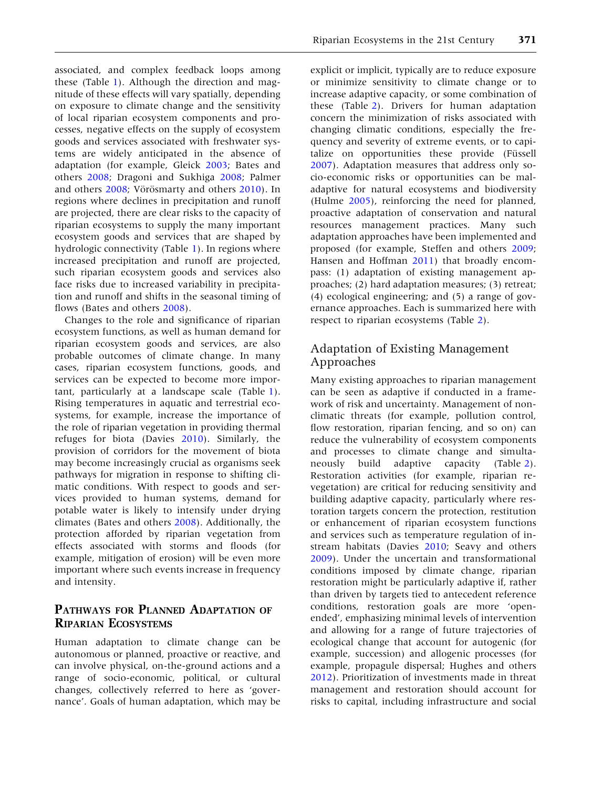associated, and complex feedback loops among these (Table [1\)](#page-6-0). Although the direction and magnitude of these effects will vary spatially, depending on exposure to climate change and the sensitivity of local riparian ecosystem components and processes, negative effects on the supply of ecosystem goods and services associated with freshwater systems are widely anticipated in the absence of adaptation (for example, Gleick [2003;](#page-20-0) Bates and others [2008;](#page-19-0) Dragoni and Sukhiga [2008](#page-20-0); Palmer and others [2008](#page-21-0); Vörösmarty and others [2010\)](#page-22-0). In regions where declines in precipitation and runoff are projected, there are clear risks to the capacity of riparian ecosystems to supply the many important ecosystem goods and services that are shaped by hydrologic connectivity (Table [1](#page-6-0)). In regions where increased precipitation and runoff are projected, such riparian ecosystem goods and services also face risks due to increased variability in precipitation and runoff and shifts in the seasonal timing of flows (Bates and others [2008\)](#page-19-0).

Changes to the role and significance of riparian ecosystem functions, as well as human demand for riparian ecosystem goods and services, are also probable outcomes of climate change. In many cases, riparian ecosystem functions, goods, and services can be expected to become more important, particularly at a landscape scale (Table [1](#page-6-0)). Rising temperatures in aquatic and terrestrial ecosystems, for example, increase the importance of the role of riparian vegetation in providing thermal refuges for biota (Davies [2010](#page-19-0)). Similarly, the provision of corridors for the movement of biota may become increasingly crucial as organisms seek pathways for migration in response to shifting climatic conditions. With respect to goods and services provided to human systems, demand for potable water is likely to intensify under drying climates (Bates and others [2008](#page-19-0)). Additionally, the protection afforded by riparian vegetation from effects associated with storms and floods (for example, mitigation of erosion) will be even more important where such events increase in frequency and intensity.

## PATHWAYS FOR PLANNED ADAPTATION OF RIPARIAN ECOSYSTEMS

Human adaptation to climate change can be autonomous or planned, proactive or reactive, and can involve physical, on-the-ground actions and a range of socio-economic, political, or cultural changes, collectively referred to here as 'governance'. Goals of human adaptation, which may be

explicit or implicit, typically are to reduce exposure or minimize sensitivity to climate change or to increase adaptive capacity, or some combination of these (Table [2\)](#page-13-0). Drivers for human adaptation concern the minimization of risks associated with changing climatic conditions, especially the frequency and severity of extreme events, or to capitalize on opportunities these provide (Füssell [2007\)](#page-20-0). Adaptation measures that address only socio-economic risks or opportunities can be maladaptive for natural ecosystems and biodiversity (Hulme [2005\)](#page-20-0), reinforcing the need for planned, proactive adaptation of conservation and natural resources management practices. Many such adaptation approaches have been implemented and proposed (for example, Steffen and others [2009](#page-21-0); Hansen and Hoffman [2011](#page-20-0)) that broadly encompass: (1) adaptation of existing management approaches; (2) hard adaptation measures; (3) retreat; (4) ecological engineering; and (5) a range of governance approaches. Each is summarized here with respect to riparian ecosystems (Table [2](#page-13-0)).

## Adaptation of Existing Management Approaches

Many existing approaches to riparian management can be seen as adaptive if conducted in a framework of risk and uncertainty. Management of nonclimatic threats (for example, pollution control, flow restoration, riparian fencing, and so on) can reduce the vulnerability of ecosystem components and processes to climate change and simultaneously build adaptive capacity (Table [2](#page-13-0)). Restoration activities (for example, riparian revegetation) are critical for reducing sensitivity and building adaptive capacity, particularly where restoration targets concern the protection, restitution or enhancement of riparian ecosystem functions and services such as temperature regulation of instream habitats (Davies [2010;](#page-19-0) Seavy and others [2009\)](#page-21-0). Under the uncertain and transformational conditions imposed by climate change, riparian restoration might be particularly adaptive if, rather than driven by targets tied to antecedent reference conditions, restoration goals are more 'openended', emphasizing minimal levels of intervention and allowing for a range of future trajectories of ecological change that account for autogenic (for example, succession) and allogenic processes (for example, propagule dispersal; Hughes and others [2012\)](#page-20-0). Prioritization of investments made in threat management and restoration should account for risks to capital, including infrastructure and social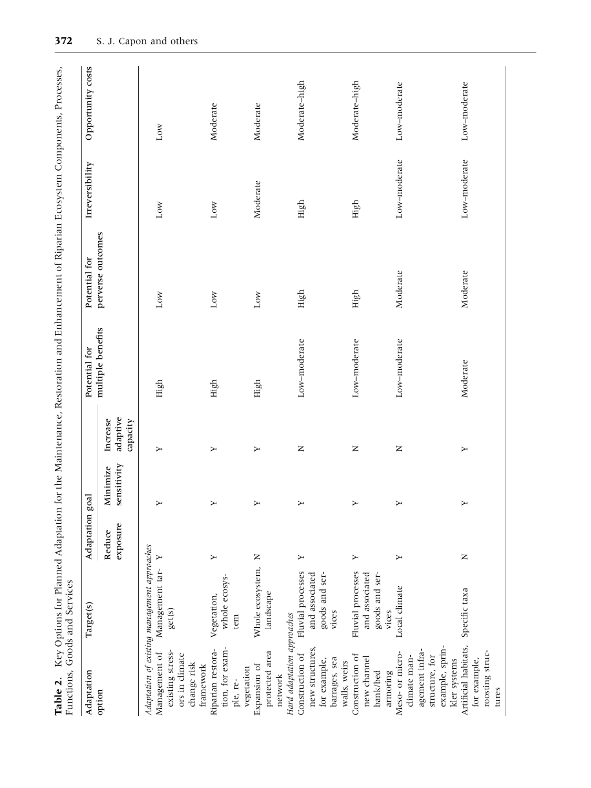<span id="page-13-0"></span>

| Adaptation                                                                                             | Target(s)                                                                 | Adaptation goal    |                         |                                  | Potential for     | Potential for     | Irreversibility | Opportunity costs |
|--------------------------------------------------------------------------------------------------------|---------------------------------------------------------------------------|--------------------|-------------------------|----------------------------------|-------------------|-------------------|-----------------|-------------------|
| option                                                                                                 |                                                                           | exposure<br>Reduce | sensitivity<br>Minimize | adaptive<br>Increase<br>capacity | multiple benefits | perverse outcomes |                 |                   |
| existing stress-<br>Management of<br>ors in climate<br>change risk                                     | Adaptation of existing management approaches<br>Management tar-<br>get(s) | $\geq$             | ≻                       | ≻                                | High              | Low               | Low             | Low               |
| tion, for exam-<br>Riparian restora-<br>framework<br>ple, re-                                          | whole ecosys-<br>Vegetation,<br>tem                                       | ≻                  | ≻                       | ≻                                | High              | Low               | Low             | Moderate          |
| Hard adaptation approaches<br>protected area<br>Expansion of<br>vegetation<br>network                  | Whole ecosystem,<br>landscape                                             | Z                  | ≻                       | Υ                                | High              | Low               | Moderate        | Moderate          |
| new structures,<br>Construction of<br>barrages, sea<br>for example,<br>walls, weirs                    | Fluvial processes<br>goods and ser-<br>and associated<br>vices            | ≻                  | ≻                       | Z                                | Low-moderate      | High              | High            | Moderate-high     |
| Construction of<br>new channel<br>bank/bed<br>armoring                                                 | Fluvial processes<br>goods and ser-<br>and associated<br>vices            | ≻                  | ≻                       | $\square$                        | Low-moderate      | High              | High            | Moderate-high     |
| example, sprin-<br>agement infra-<br>Meso- or micro-<br>structure, for<br>climate man-<br>kler systems | Local climate                                                             | ≻                  | ≻                       | Z                                | Low-moderate      | Moderate          | Low-moderate    | Low-moderate      |
| Artificial habitats,<br>roosting struc-<br>for example,<br>tures                                       | Specific taxa                                                             | Z                  | ≻                       | ≻                                | Moderate          | Moderate          | Low-moderate    | Low-moderate      |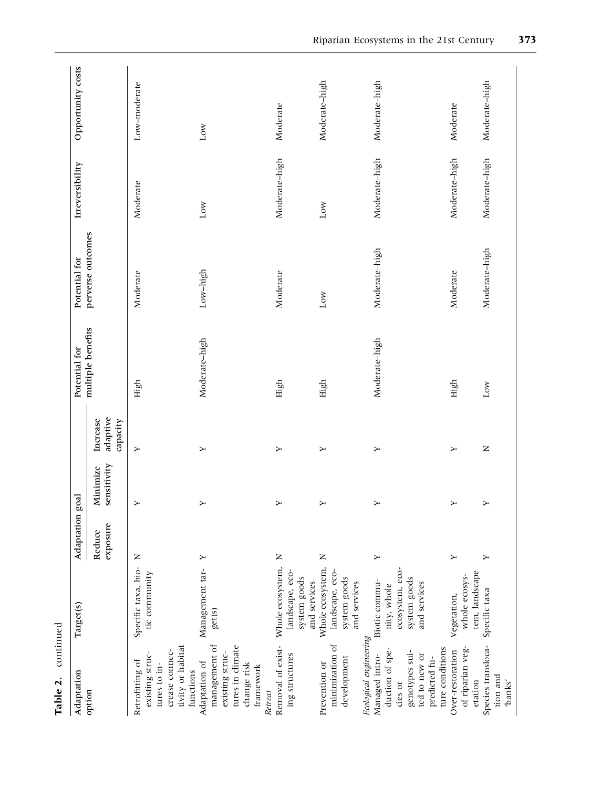| continued<br>Table 2.                                                                                               |                                                                                 |                    |                         |                                  |                   |                   |                 |                   |
|---------------------------------------------------------------------------------------------------------------------|---------------------------------------------------------------------------------|--------------------|-------------------------|----------------------------------|-------------------|-------------------|-----------------|-------------------|
| Adaptation                                                                                                          | Target(s)                                                                       | Adaptation         | goal                    |                                  | Potential for     | Potential for     | Irreversibility | Opportunity costs |
| option                                                                                                              |                                                                                 | exposure<br>Reduce | sensitivity<br>Minimize | adaptive<br>Increase<br>capacity | multiple benefits | perverse outcomes |                 |                   |
| tivity or habitat<br>crease connec-<br>existing struc-<br>Retrofitting of<br>tures to in-<br>functions              | Specific taxa, bio-<br>tic community                                            | Z                  | Υ                       | Υ                                | High              | Moderate          | Moderate        | Low-moderate      |
| management of<br>tures in climate<br>existing struc-<br>Adaptation of<br>change risk<br>framework<br>Retreat        | Management tar-<br>get(s)                                                       | Y                  | Y                       | ≻                                | Moderate-high     | Low-high          | Low             | Low               |
| Removal of exist-<br>ing structures                                                                                 | Whole ecosystem,<br>landscape, eco-<br>system goods<br>and services             | $\square$          | ≻                       | ≻                                | High              | Moderate          | Moderate-high   | Moderate          |
| Ecological engineering<br>minimization of<br>development<br>Prevention or                                           | Whole ecosystem,<br>landscape, eco-<br>system goods<br>and services             | $\square$          | Y                       | Y                                | High              | Low               | Low             | Moderate-high     |
| ture conditions<br>duction of spe-<br>genotypes sui-<br>Managed intro-<br>ted to new or<br>predicted fu-<br>cies or | ecosystem, eco-<br>system goods<br>Biotic commu-<br>and services<br>nity, whole | ≻                  | Y                       | Y                                | Moderate-high     | Moderate-high     | Moderate-high   | Moderate-high     |
| of riparian veg-<br>Over-restoration<br>etation                                                                     | tem, landscape<br>whole ecosys-<br>Vegetation,                                  | Y                  | Y                       | Y                                | High              | Moderate          | Moderate-high   | Moderate          |
| Species transloca-<br>tion and<br>banks'                                                                            | Specific taxa                                                                   | Y                  | Υ                       | $\mathsf{z}$                     | Low               | Moderate-high     | Moderate-high   | Moderate-high     |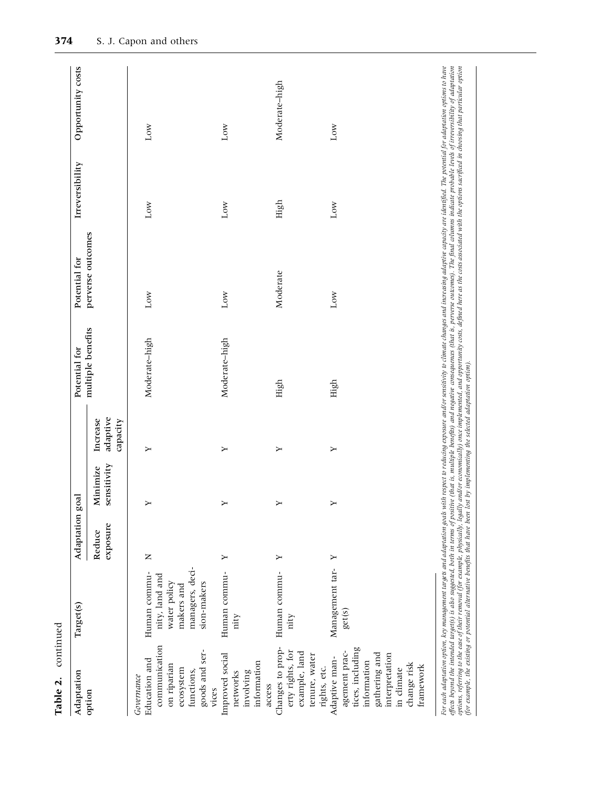| Adaptation                                                                                                                                     | Target(s)                                                                                      | Adaptation         | goal                    |                                  | Potential for     | Potential for                                                                                                                                                                                                                                                                                                                                                                                                                                                                                                                                                                                                                                                                                     | Irreversibility | Opportunity costs |
|------------------------------------------------------------------------------------------------------------------------------------------------|------------------------------------------------------------------------------------------------|--------------------|-------------------------|----------------------------------|-------------------|---------------------------------------------------------------------------------------------------------------------------------------------------------------------------------------------------------------------------------------------------------------------------------------------------------------------------------------------------------------------------------------------------------------------------------------------------------------------------------------------------------------------------------------------------------------------------------------------------------------------------------------------------------------------------------------------------|-----------------|-------------------|
| option                                                                                                                                         |                                                                                                | exposure<br>Reduce | sensitivity<br>Minimize | adaptive<br>Increase<br>capacity | multiple benefits | perverse outcomes                                                                                                                                                                                                                                                                                                                                                                                                                                                                                                                                                                                                                                                                                 |                 |                   |
| communication<br>goods and ser-<br>Education and<br>on riparian<br>ecosystem<br>functions,<br>Governance                                       | managers, deci-<br>Human commu-<br>nity, land and<br>water policy<br>sion-makers<br>makers and | Z                  | Σ                       | Y                                | Moderate-high     | Low                                                                                                                                                                                                                                                                                                                                                                                                                                                                                                                                                                                                                                                                                               | Low             | Low               |
| Improved social<br>information<br>involving<br>networks<br>vices                                                                               | Human commu-<br>nity                                                                           | Y                  | Y                       | Y                                | Moderate-high     | Low                                                                                                                                                                                                                                                                                                                                                                                                                                                                                                                                                                                                                                                                                               | Low             | Low               |
| Changes to prop-<br>erty rights, for<br>example, land<br>tenure, water<br>rights, etc.<br>access                                               | Human commu-<br>nity                                                                           | ≻                  | Σ                       | Υ                                | High              | Moderate                                                                                                                                                                                                                                                                                                                                                                                                                                                                                                                                                                                                                                                                                          | High            | Moderate-high     |
| tices, including<br>agement prac-<br>gathering and<br>interpretation<br>Adaptive man-<br>information<br>change risk<br>framework<br>in climate | Management tar-<br>get(s)                                                                      | $\geq$             | ≻                       | ≻                                | High              | Low                                                                                                                                                                                                                                                                                                                                                                                                                                                                                                                                                                                                                                                                                               | Low             | Low               |
|                                                                                                                                                |                                                                                                |                    |                         |                                  |                   | For each adaptation option, key management targets and adaptation goals with respect to reducing exposure and or sensitivity to climate changes and increasing adaptive capacity are identified. The potential for adaptation<br>effects beyond the intended target(s) is also suggested, both in terms of positive (that is, multiple benefits) and negative consequences (that is, perverse outcomes). The final columns indicate probable levels of irrevers<br>options, referring to the ease of their removal (for example, physically, legally and/or connically) once implemented, and opportunity costs, defined here as the costs associated with the options sacrificed in choosing tha |                 |                   |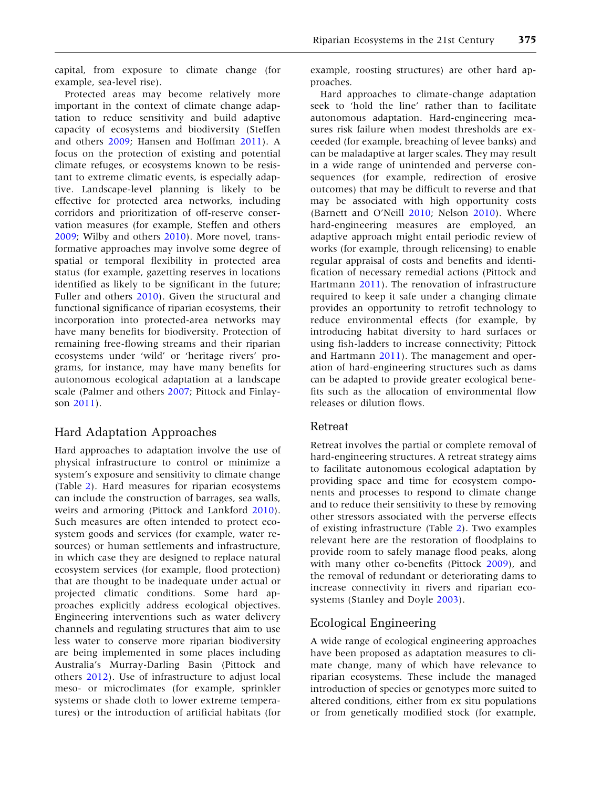capital, from exposure to climate change (for example, sea-level rise).

Protected areas may become relatively more important in the context of climate change adaptation to reduce sensitivity and build adaptive capacity of ecosystems and biodiversity (Steffen and others [2009;](#page-21-0) Hansen and Hoffman [2011](#page-20-0)). A focus on the protection of existing and potential climate refuges, or ecosystems known to be resistant to extreme climatic events, is especially adaptive. Landscape-level planning is likely to be effective for protected area networks, including corridors and prioritization of off-reserve conservation measures (for example, Steffen and others [2009;](#page-21-0) Wilby and others [2010](#page-22-0)). More novel, transformative approaches may involve some degree of spatial or temporal flexibility in protected area status (for example, gazetting reserves in locations identified as likely to be significant in the future; Fuller and others [2010](#page-20-0)). Given the structural and functional significance of riparian ecosystems, their incorporation into protected-area networks may have many benefits for biodiversity. Protection of remaining free-flowing streams and their riparian ecosystems under 'wild' or 'heritage rivers' programs, for instance, may have many benefits for autonomous ecological adaptation at a landscape scale (Palmer and others [2007;](#page-21-0) Pittock and Finlayson [2011\)](#page-21-0).

## Hard Adaptation Approaches

Hard approaches to adaptation involve the use of physical infrastructure to control or minimize a system's exposure and sensitivity to climate change (Table [2](#page-13-0)). Hard measures for riparian ecosystems can include the construction of barrages, sea walls, weirs and armoring (Pittock and Lankford [2010](#page-21-0)). Such measures are often intended to protect ecosystem goods and services (for example, water resources) or human settlements and infrastructure, in which case they are designed to replace natural ecosystem services (for example, flood protection) that are thought to be inadequate under actual or projected climatic conditions. Some hard approaches explicitly address ecological objectives. Engineering interventions such as water delivery channels and regulating structures that aim to use less water to conserve more riparian biodiversity are being implemented in some places including Australia's Murray-Darling Basin (Pittock and others [2012\)](#page-21-0). Use of infrastructure to adjust local meso- or microclimates (for example, sprinkler systems or shade cloth to lower extreme temperatures) or the introduction of artificial habitats (for

example, roosting structures) are other hard approaches.

Hard approaches to climate-change adaptation seek to 'hold the line' rather than to facilitate autonomous adaptation. Hard-engineering measures risk failure when modest thresholds are exceeded (for example, breaching of levee banks) and can be maladaptive at larger scales. They may result in a wide range of unintended and perverse consequences (for example, redirection of erosive outcomes) that may be difficult to reverse and that may be associated with high opportunity costs (Barnett and O'Neill [2010;](#page-19-0) Nelson [2010\)](#page-21-0). Where hard-engineering measures are employed, an adaptive approach might entail periodic review of works (for example, through relicensing) to enable regular appraisal of costs and benefits and identification of necessary remedial actions (Pittock and Hartmann [2011](#page-21-0)). The renovation of infrastructure required to keep it safe under a changing climate provides an opportunity to retrofit technology to reduce environmental effects (for example, by introducing habitat diversity to hard surfaces or using fish-ladders to increase connectivity; Pittock and Hartmann [2011](#page-21-0)). The management and operation of hard-engineering structures such as dams can be adapted to provide greater ecological benefits such as the allocation of environmental flow releases or dilution flows.

#### Retreat

Retreat involves the partial or complete removal of hard-engineering structures. A retreat strategy aims to facilitate autonomous ecological adaptation by providing space and time for ecosystem components and processes to respond to climate change and to reduce their sensitivity to these by removing other stressors associated with the perverse effects of existing infrastructure (Table [2\)](#page-13-0). Two examples relevant here are the restoration of floodplains to provide room to safely manage flood peaks, along with many other co-benefits (Pittock [2009\)](#page-21-0), and the removal of redundant or deteriorating dams to increase connectivity in rivers and riparian ecosystems (Stanley and Doyle [2003\)](#page-21-0).

## Ecological Engineering

A wide range of ecological engineering approaches have been proposed as adaptation measures to climate change, many of which have relevance to riparian ecosystems. These include the managed introduction of species or genotypes more suited to altered conditions, either from ex situ populations or from genetically modified stock (for example,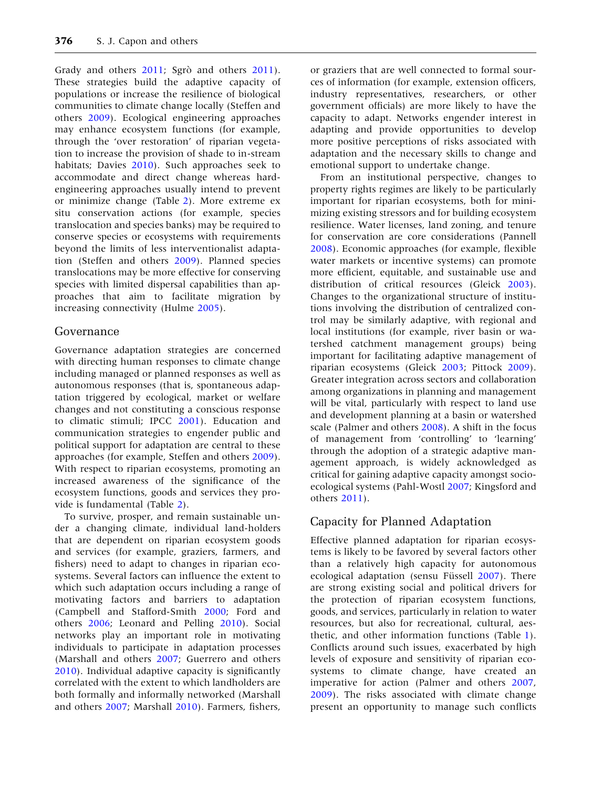Grady and others [2011;](#page-20-0) Sgrò and others [2011](#page-21-0)). These strategies build the adaptive capacity of populations or increase the resilience of biological communities to climate change locally (Steffen and others [2009\)](#page-21-0). Ecological engineering approaches may enhance ecosystem functions (for example, through the 'over restoration' of riparian vegetation to increase the provision of shade to in-stream habitats; Davies [2010](#page-19-0)). Such approaches seek to accommodate and direct change whereas hardengineering approaches usually intend to prevent or minimize change (Table [2](#page-13-0)). More extreme ex situ conservation actions (for example, species translocation and species banks) may be required to conserve species or ecosystems with requirements beyond the limits of less interventionalist adaptation (Steffen and others [2009](#page-21-0)). Planned species translocations may be more effective for conserving species with limited dispersal capabilities than approaches that aim to facilitate migration by increasing connectivity (Hulme [2005\)](#page-20-0).

#### Governance

Governance adaptation strategies are concerned with directing human responses to climate change including managed or planned responses as well as autonomous responses (that is, spontaneous adaptation triggered by ecological, market or welfare changes and not constituting a conscious response to climatic stimuli; IPCC [2001](#page-20-0)). Education and communication strategies to engender public and political support for adaptation are central to these approaches (for example, Steffen and others [2009](#page-21-0)). With respect to riparian ecosystems, promoting an increased awareness of the significance of the ecosystem functions, goods and services they provide is fundamental (Table [2\)](#page-13-0).

To survive, prosper, and remain sustainable under a changing climate, individual land-holders that are dependent on riparian ecosystem goods and services (for example, graziers, farmers, and fishers) need to adapt to changes in riparian ecosystems. Several factors can influence the extent to which such adaptation occurs including a range of motivating factors and barriers to adaptation (Campbell and Stafford-Smith [2000](#page-19-0); Ford and others [2006;](#page-20-0) Leonard and Pelling [2010](#page-20-0)). Social networks play an important role in motivating individuals to participate in adaptation processes (Marshall and others [2007](#page-20-0); Guerrero and others [2010\)](#page-20-0). Individual adaptive capacity is significantly correlated with the extent to which landholders are both formally and informally networked (Marshall and others [2007;](#page-20-0) Marshall [2010](#page-20-0)). Farmers, fishers,

or graziers that are well connected to formal sources of information (for example, extension officers, industry representatives, researchers, or other government officials) are more likely to have the capacity to adapt. Networks engender interest in adapting and provide opportunities to develop more positive perceptions of risks associated with adaptation and the necessary skills to change and emotional support to undertake change.

From an institutional perspective, changes to property rights regimes are likely to be particularly important for riparian ecosystems, both for minimizing existing stressors and for building ecosystem resilience. Water licenses, land zoning, and tenure for conservation are core considerations (Pannell [2008\)](#page-21-0). Economic approaches (for example, flexible water markets or incentive systems) can promote more efficient, equitable, and sustainable use and distribution of critical resources (Gleick [2003](#page-20-0)). Changes to the organizational structure of institutions involving the distribution of centralized control may be similarly adaptive, with regional and local institutions (for example, river basin or watershed catchment management groups) being important for facilitating adaptive management of riparian ecosystems (Gleick [2003](#page-20-0); Pittock [2009](#page-21-0)). Greater integration across sectors and collaboration among organizations in planning and management will be vital, particularly with respect to land use and development planning at a basin or watershed scale (Palmer and others [2008](#page-21-0)). A shift in the focus of management from 'controlling' to 'learning' through the adoption of a strategic adaptive management approach, is widely acknowledged as critical for gaining adaptive capacity amongst socioecological systems (Pahl-Wostl [2007;](#page-21-0) Kingsford and others [2011\)](#page-20-0).

#### Capacity for Planned Adaptation

Effective planned adaptation for riparian ecosystems is likely to be favored by several factors other than a relatively high capacity for autonomous ecological adaptation (sensu Füssell [2007](#page-20-0)). There are strong existing social and political drivers for the protection of riparian ecosystem functions, goods, and services, particularly in relation to water resources, but also for recreational, cultural, aesthetic, and other information functions (Table [1](#page-6-0)). Conflicts around such issues, exacerbated by high levels of exposure and sensitivity of riparian ecosystems to climate change, have created an imperative for action (Palmer and others [2007](#page-21-0), [2009\)](#page-21-0). The risks associated with climate change present an opportunity to manage such conflicts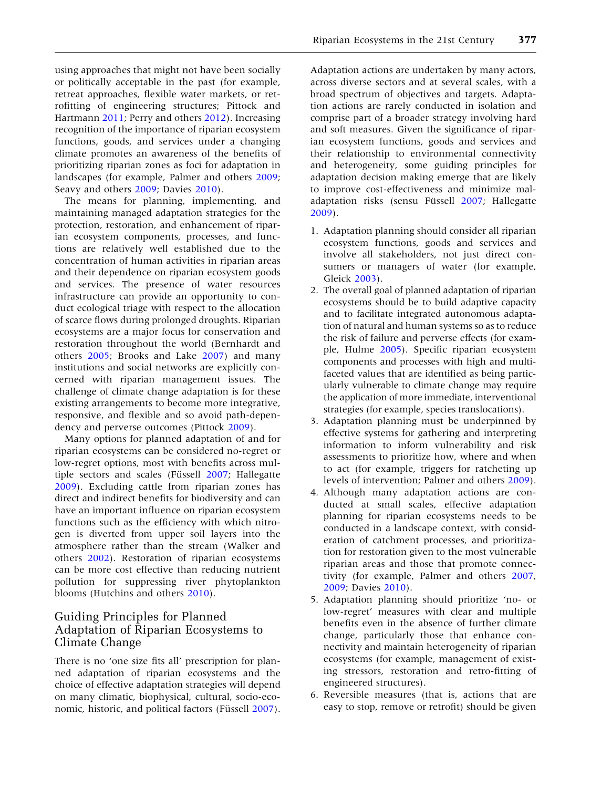using approaches that might not have been socially or politically acceptable in the past (for example, retreat approaches, flexible water markets, or retrofitting of engineering structures; Pittock and Hartmann [2011;](#page-21-0) Perry and others [2012](#page-21-0)). Increasing recognition of the importance of riparian ecosystem functions, goods, and services under a changing climate promotes an awareness of the benefits of prioritizing riparian zones as foci for adaptation in landscapes (for example, Palmer and others [2009](#page-21-0); Seavy and others [2009](#page-21-0); Davies [2010](#page-19-0)).

The means for planning, implementing, and maintaining managed adaptation strategies for the protection, restoration, and enhancement of riparian ecosystem components, processes, and functions are relatively well established due to the concentration of human activities in riparian areas and their dependence on riparian ecosystem goods and services. The presence of water resources infrastructure can provide an opportunity to conduct ecological triage with respect to the allocation of scarce flows during prolonged droughts. Riparian ecosystems are a major focus for conservation and restoration throughout the world (Bernhardt and others [2005](#page-19-0); Brooks and Lake [2007](#page-19-0)) and many institutions and social networks are explicitly concerned with riparian management issues. The challenge of climate change adaptation is for these existing arrangements to become more integrative, responsive, and flexible and so avoid path-dependency and perverse outcomes (Pittock [2009](#page-21-0)).

Many options for planned adaptation of and for riparian ecosystems can be considered no-regret or low-regret options, most with benefits across mul-tiple sectors and scales (Füssell [2007](#page-20-0); Hallegatte [2009\)](#page-20-0). Excluding cattle from riparian zones has direct and indirect benefits for biodiversity and can have an important influence on riparian ecosystem functions such as the efficiency with which nitrogen is diverted from upper soil layers into the atmosphere rather than the stream (Walker and others [2002](#page-22-0)). Restoration of riparian ecosystems can be more cost effective than reducing nutrient pollution for suppressing river phytoplankton blooms (Hutchins and others [2010](#page-20-0)).

## Guiding Principles for Planned Adaptation of Riparian Ecosystems to Climate Change

There is no 'one size fits all' prescription for planned adaptation of riparian ecosystems and the choice of effective adaptation strategies will depend on many climatic, biophysical, cultural, socio-eco-nomic, historic, and political factors (Füssell [2007](#page-20-0)).

Adaptation actions are undertaken by many actors, across diverse sectors and at several scales, with a broad spectrum of objectives and targets. Adaptation actions are rarely conducted in isolation and comprise part of a broader strategy involving hard and soft measures. Given the significance of riparian ecosystem functions, goods and services and their relationship to environmental connectivity and heterogeneity, some guiding principles for adaptation decision making emerge that are likely to improve cost-effectiveness and minimize mal-adaptation risks (sensu Füssell [2007](#page-20-0); Hallegatte [2009\)](#page-20-0).

- 1. Adaptation planning should consider all riparian ecosystem functions, goods and services and involve all stakeholders, not just direct consumers or managers of water (for example, Gleick [2003](#page-20-0)).
- 2. The overall goal of planned adaptation of riparian ecosystems should be to build adaptive capacity and to facilitate integrated autonomous adaptation of natural and human systems so as to reduce the risk of failure and perverse effects (for example, Hulme [2005\)](#page-20-0). Specific riparian ecosystem components and processes with high and multifaceted values that are identified as being particularly vulnerable to climate change may require the application of more immediate, interventional strategies (for example, species translocations).
- 3. Adaptation planning must be underpinned by effective systems for gathering and interpreting information to inform vulnerability and risk assessments to prioritize how, where and when to act (for example, triggers for ratcheting up levels of intervention; Palmer and others [2009](#page-21-0)).
- 4. Although many adaptation actions are conducted at small scales, effective adaptation planning for riparian ecosystems needs to be conducted in a landscape context, with consideration of catchment processes, and prioritization for restoration given to the most vulnerable riparian areas and those that promote connectivity (for example, Palmer and others [2007](#page-21-0), [2009](#page-21-0); Davies [2010](#page-19-0)).
- 5. Adaptation planning should prioritize 'no- or low-regret' measures with clear and multiple benefits even in the absence of further climate change, particularly those that enhance connectivity and maintain heterogeneity of riparian ecosystems (for example, management of existing stressors, restoration and retro-fitting of engineered structures).
- 6. Reversible measures (that is, actions that are easy to stop, remove or retrofit) should be given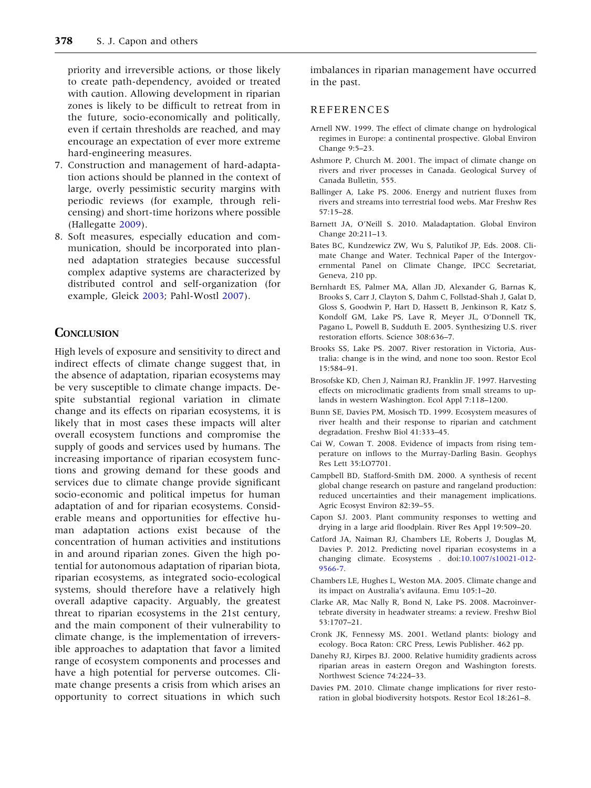<span id="page-19-0"></span>priority and irreversible actions, or those likely to create path-dependency, avoided or treated with caution. Allowing development in riparian zones is likely to be difficult to retreat from in the future, socio-economically and politically, even if certain thresholds are reached, and may encourage an expectation of ever more extreme hard-engineering measures.

- 7. Construction and management of hard-adaptation actions should be planned in the context of large, overly pessimistic security margins with periodic reviews (for example, through relicensing) and short-time horizons where possible (Hallegatte [2009\)](#page-20-0).
- 8. Soft measures, especially education and communication, should be incorporated into planned adaptation strategies because successful complex adaptive systems are characterized by distributed control and self-organization (for example, Gleick [2003](#page-20-0); Pahl-Wostl [2007](#page-21-0)).

#### **CONCLUSION**

High levels of exposure and sensitivity to direct and indirect effects of climate change suggest that, in the absence of adaptation, riparian ecosystems may be very susceptible to climate change impacts. Despite substantial regional variation in climate change and its effects on riparian ecosystems, it is likely that in most cases these impacts will alter overall ecosystem functions and compromise the supply of goods and services used by humans. The increasing importance of riparian ecosystem functions and growing demand for these goods and services due to climate change provide significant socio-economic and political impetus for human adaptation of and for riparian ecosystems. Considerable means and opportunities for effective human adaptation actions exist because of the concentration of human activities and institutions in and around riparian zones. Given the high potential for autonomous adaptation of riparian biota, riparian ecosystems, as integrated socio-ecological systems, should therefore have a relatively high overall adaptive capacity. Arguably, the greatest threat to riparian ecosystems in the 21st century, and the main component of their vulnerability to climate change, is the implementation of irreversible approaches to adaptation that favor a limited range of ecosystem components and processes and have a high potential for perverse outcomes. Climate change presents a crisis from which arises an opportunity to correct situations in which such imbalances in riparian management have occurred in the past.

#### REFERENCES

- Arnell NW. 1999. The effect of climate change on hydrological regimes in Europe: a continental prospective. Global Environ Change 9:5–23.
- Ashmore P, Church M. 2001. The impact of climate change on rivers and river processes in Canada. Geological Survey of Canada Bulletin, 555.
- Ballinger A, Lake PS. 2006. Energy and nutrient fluxes from rivers and streams into terrestrial food webs. Mar Freshw Res 57:15–28.
- Barnett JA, O'Neill S. 2010. Maladaptation. Global Environ Change 20:211–13.
- Bates BC, Kundzewicz ZW, Wu S, Palutikof JP, Eds. 2008. Climate Change and Water. Technical Paper of the Intergovernmental Panel on Climate Change, IPCC Secretariat, Geneva, 210 pp.
- Bernhardt ES, Palmer MA, Allan JD, Alexander G, Barnas K, Brooks S, Carr J, Clayton S, Dahm C, Follstad-Shah J, Galat D, Gloss S, Goodwin P, Hart D, Hassett B, Jenkinson R, Katz S, Kondolf GM, Lake PS, Lave R, Meyer JL, O'Donnell TK, Pagano L, Powell B, Sudduth E. 2005. Synthesizing U.S. river restoration efforts. Science 308:636–7.
- Brooks SS, Lake PS. 2007. River restoration in Victoria, Australia: change is in the wind, and none too soon. Restor Ecol 15:584–91.
- Brosofske KD, Chen J, Naiman RJ, Franklin JF. 1997. Harvesting effects on microclimatic gradients from small streams to uplands in western Washington. Ecol Appl 7:118–1200.
- Bunn SE, Davies PM, Mosisch TD. 1999. Ecosystem measures of river health and their response to riparian and catchment degradation. Freshw Biol 41:333–45.
- Cai W, Cowan T. 2008. Evidence of impacts from rising temperature on inflows to the Murray-Darling Basin. Geophys Res Lett 35:LO7701.
- Campbell BD, Stafford-Smith DM. 2000. A synthesis of recent global change research on pasture and rangeland production: reduced uncertainties and their management implications. Agric Ecosyst Environ 82:39–55.
- Capon SJ. 2003. Plant community responses to wetting and drying in a large arid floodplain. River Res Appl 19:509–20.
- Catford JA, Naiman RJ, Chambers LE, Roberts J, Douglas M, Davies P. 2012. Predicting novel riparian ecosystems in a changing climate. Ecosystems . doi[:10.1007/s10021-012-](http://dx.doi.org/10.1007/s10021-012-9566-7) [9566-7](http://dx.doi.org/10.1007/s10021-012-9566-7).
- Chambers LE, Hughes L, Weston MA. 2005. Climate change and its impact on Australia's avifauna. Emu 105:1–20.
- Clarke AR, Mac Nally R, Bond N, Lake PS. 2008. Macroinvertebrate diversity in headwater streams: a review. Freshw Biol 53:1707–21.
- Cronk JK, Fennessy MS. 2001. Wetland plants: biology and ecology. Boca Raton: CRC Press, Lewis Publisher. 462 pp.
- Danehy RJ, Kirpes BJ. 2000. Relative humidity gradients across riparian areas in eastern Oregon and Washington forests. Northwest Science 74:224–33.
- Davies PM. 2010. Climate change implications for river restoration in global biodiversity hotspots. Restor Ecol 18:261–8.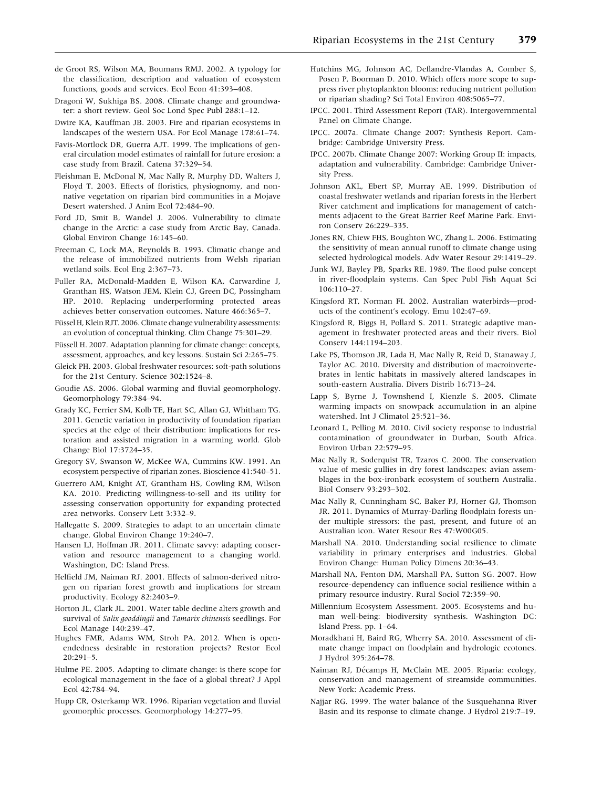- <span id="page-20-0"></span>de Groot RS, Wilson MA, Boumans RMJ. 2002. A typology for the classification, description and valuation of ecosystem functions, goods and services. Ecol Econ 41:393–408.
- Dragoni W, Sukhiga BS. 2008. Climate change and groundwater: a short review. Geol Soc Lond Spec Publ 288:1–12.
- Dwire KA, Kauffman JB. 2003. Fire and riparian ecosystems in landscapes of the western USA. For Ecol Manage 178:61–74.
- Favis-Mortlock DR, Guerra AJT. 1999. The implications of general circulation model estimates of rainfall for future erosion: a case study from Brazil. Catena 37:329–54.
- Fleishman E, McDonal N, Mac Nally R, Murphy DD, Walters J, Floyd T. 2003. Effects of floristics, physiognomy, and nonnative vegetation on riparian bird communities in a Mojave Desert watershed. J Anim Ecol 72:484–90.
- Ford JD, Smit B, Wandel J. 2006. Vulnerability to climate change in the Arctic: a case study from Arctic Bay, Canada. Global Environ Change 16:145–60.
- Freeman C, Lock MA, Reynolds B. 1993. Climatic change and the release of immobilized nutrients from Welsh riparian wetland soils. Ecol Eng 2:367–73.
- Fuller RA, McDonald-Madden E, Wilson KA, Carwardine J, Granthan HS, Watson JEM, Klein CJ, Green DC, Possingham HP. 2010. Replacing underperforming protected areas achieves better conservation outcomes. Nature 466:365–7.
- Füssel H, Klein RJT. 2006. Climate change vulnerability assessments: an evolution of conceptual thinking. Clim Change 75:301–29.
- Füssell H. 2007. Adaptation planning for climate change: concepts, assessment, approaches, and key lessons. Sustain Sci 2:265–75.
- Gleick PH. 2003. Global freshwater resources: soft-path solutions for the 21st Century. Science 302:1524–8.
- Goudie AS. 2006. Global warming and fluvial geomorphology. Geomorphology 79:384–94.
- Grady KC, Ferrier SM, Kolb TE, Hart SC, Allan GJ, Whitham TG. 2011. Genetic variation in productivity of foundation riparian species at the edge of their distribution: implications for restoration and assisted migration in a warming world. Glob Change Biol 17:3724–35.
- Gregory SV, Swanson W, McKee WA, Cummins KW. 1991. An ecosystem perspective of riparian zones. Bioscience 41:540–51.
- Guerrero AM, Knight AT, Grantham HS, Cowling RM, Wilson KA. 2010. Predicting willingness-to-sell and its utility for assessing conservation opportunity for expanding protected area networks. Conserv Lett 3:332–9.
- Hallegatte S. 2009. Strategies to adapt to an uncertain climate change. Global Environ Change 19:240–7.
- Hansen LJ, Hoffman JR. 2011. Climate savvy: adapting conservation and resource management to a changing world. Washington, DC: Island Press.
- Helfield JM, Naiman RJ. 2001. Effects of salmon-derived nitrogen on riparian forest growth and implications for stream productivity. Ecology 82:2403–9.
- Horton JL, Clark JL. 2001. Water table decline alters growth and survival of Salix gooddingii and Tamarix chinensis seedlings. For Ecol Manage 140:239–47.
- Hughes FMR, Adams WM, Stroh PA. 2012. When is openendedness desirable in restoration projects? Restor Ecol 20:291–5.
- Hulme PE. 2005. Adapting to climate change: is there scope for ecological management in the face of a global threat? J Appl Ecol 42:784–94.
- Hupp CR, Osterkamp WR. 1996. Riparian vegetation and fluvial geomorphic processes. Geomorphology 14:277–95.
- Hutchins MG, Johnson AC, Deflandre-Vlandas A, Comber S, Posen P, Boorman D. 2010. Which offers more scope to suppress river phytoplankton blooms: reducing nutrient pollution or riparian shading? Sci Total Environ 408:5065–77.
- IPCC. 2001. Third Assessment Report (TAR). Intergovernmental Panel on Climate Change.
- IPCC. 2007a. Climate Change 2007: Synthesis Report. Cambridge: Cambridge University Press.
- IPCC. 2007b. Climate Change 2007: Working Group II: impacts, adaptation and vulnerability. Cambridge: Cambridge University Press.
- Johnson AKL, Ebert SP, Murray AE. 1999. Distribution of coastal freshwater wetlands and riparian forests in the Herbert River catchment and implications for management of catchments adjacent to the Great Barrier Reef Marine Park. Environ Conserv 26:229–335.
- Jones RN, Chiew FHS, Boughton WC, Zhang L. 2006. Estimating the sensitivity of mean annual runoff to climate change using selected hydrological models. Adv Water Resour 29:1419–29.
- Junk WJ, Bayley PB, Sparks RE. 1989. The flood pulse concept in river-floodplain systems. Can Spec Publ Fish Aquat Sci 106:110–27.
- Kingsford RT, Norman FI. 2002. Australian waterbirds—products of the continent's ecology. Emu 102:47–69.
- Kingsford R, Biggs H, Pollard S. 2011. Strategic adaptive management in freshwater protected areas and their rivers. Biol Conserv 144:1194–203.
- Lake PS, Thomson JR, Lada H, Mac Nally R, Reid D, Stanaway J, Taylor AC. 2010. Diversity and distribution of macroinvertebrates in lentic habitats in massively altered landscapes in south-eastern Australia. Divers Distrib 16:713–24.
- Lapp S, Byrne J, Townshend I, Kienzle S. 2005. Climate warming impacts on snowpack accumulation in an alpine watershed. Int J Climatol 25:521–36.
- Leonard L, Pelling M. 2010. Civil society response to industrial contamination of groundwater in Durban, South Africa. Environ Urban 22:579–95.
- Mac Nally R, Soderquist TR, Tzaros C. 2000. The conservation value of mesic gullies in dry forest landscapes: avian assemblages in the box-ironbark ecosystem of southern Australia. Biol Conserv 93:293–302.
- Mac Nally R, Cunningham SC, Baker PJ, Horner GJ, Thomson JR. 2011. Dynamics of Murray-Darling floodplain forests under multiple stressors: the past, present, and future of an Australian icon. Water Resour Res 47:W00G05.
- Marshall NA. 2010. Understanding social resilience to climate variability in primary enterprises and industries. Global Environ Change: Human Policy Dimens 20:36–43.
- Marshall NA, Fenton DM, Marshall PA, Sutton SG. 2007. How resource-dependency can influence social resilience within a primary resource industry. Rural Sociol 72:359–90.
- Millennium Ecosystem Assessment. 2005. Ecosystems and human well-being: biodiversity synthesis. Washington DC: Island Press. pp. 1–64.
- Moradkhani H, Baird RG, Wherry SA. 2010. Assessment of climate change impact on floodplain and hydrologic ecotones. J Hydrol 395:264–78.
- Naiman RJ, Décamps H, McClain ME. 2005. Riparia: ecology, conservation and management of streamside communities. New York: Academic Press.
- Najjar RG. 1999. The water balance of the Susquehanna River Basin and its response to climate change. J Hydrol 219:7–19.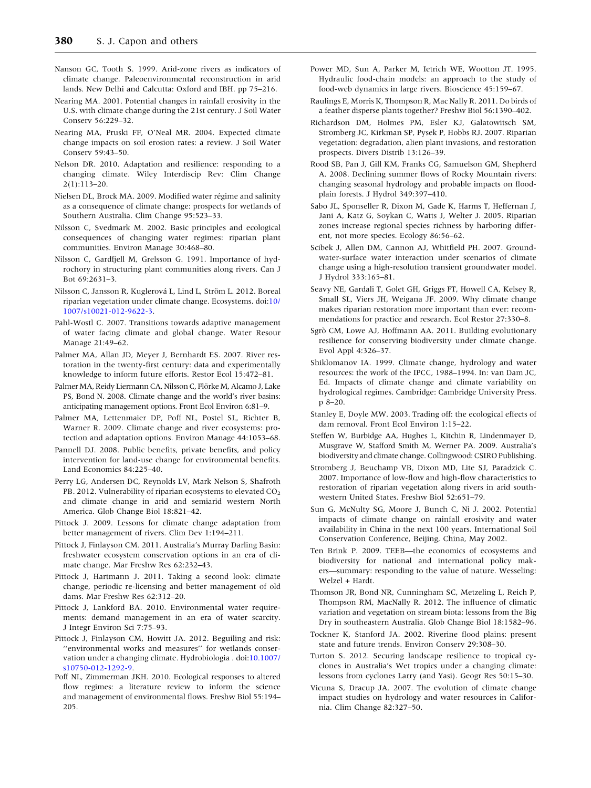- <span id="page-21-0"></span>Nanson GC, Tooth S. 1999. Arid-zone rivers as indicators of climate change. Paleoenvironmental reconstruction in arid lands. New Delhi and Calcutta: Oxford and IBH. pp 75–216.
- Nearing MA. 2001. Potential changes in rainfall erosivity in the U.S. with climate change during the 21st century. J Soil Water Conserv 56:229–32.
- Nearing MA, Pruski FF, O'Neal MR. 2004. Expected climate change impacts on soil erosion rates: a review. J Soil Water Conserv 59:43–50.
- Nelson DR. 2010. Adaptation and resilience: responding to a changing climate. Wiley Interdiscip Rev: Clim Change 2(1):113–20.
- Nielsen DL, Brock MA. 2009. Modified water régime and salinity as a consequence of climate change: prospects for wetlands of Southern Australia. Clim Change 95:523–33.
- Nilsson C, Svedmark M. 2002. Basic principles and ecological consequences of changing water regimes: riparian plant communities. Environ Manage 30:468–80.
- Nilsson C, Gardfjell M, Grelsson G. 1991. Importance of hydrochory in structuring plant communities along rivers. Can J Bot 69:2631–3.
- Nilsson C, Jansson R, Kuglerová L, Lind L, Ström L. 2012. Boreal riparian vegetation under climate change. Ecosystems. doi[:10/](http://dx.doi.org/10/1007/s10021-012-9622-3) [1007/s10021-012-9622-3](http://dx.doi.org/10/1007/s10021-012-9622-3).
- Pahl-Wostl C. 2007. Transitions towards adaptive management of water facing climate and global change. Water Resour Manage 21:49–62.
- Palmer MA, Allan JD, Meyer J, Bernhardt ES. 2007. River restoration in the twenty-first century: data and experimentally knowledge to inform future efforts. Restor Ecol 15:472–81.
- Palmer MA, Reidy Liermann CA, Nilsson C, Flörke M, Alcamo J, Lake PS, Bond N. 2008. Climate change and the world's river basins: anticipating management options. Front Ecol Environ 6:81–9.
- Palmer MA, Lettenmaier DP, Poff NL, Postel SL, Richter B, Warner R. 2009. Climate change and river ecosystems: protection and adaptation options. Environ Manage 44:1053–68.
- Pannell DJ. 2008. Public benefits, private benefits, and policy intervention for land-use change for environmental benefits. Land Economics 84:225–40.
- Perry LG, Andersen DC, Reynolds LV, Mark Nelson S, Shafroth PB. 2012. Vulnerability of riparian ecosystems to elevated  $CO<sub>2</sub>$ and climate change in arid and semiarid western North America. Glob Change Biol 18:821–42.
- Pittock J. 2009. Lessons for climate change adaptation from better management of rivers. Clim Dev 1:194–211.
- Pittock J, Finlayson CM. 2011. Australia's Murray Darling Basin: freshwater ecosystem conservation options in an era of climate change. Mar Freshw Res 62:232–43.
- Pittock J, Hartmann J. 2011. Taking a second look: climate change, periodic re-licensing and better management of old dams. Mar Freshw Res 62:312–20.
- Pittock J, Lankford BA. 2010. Environmental water requirements: demand management in an era of water scarcity. J Integr Environ Sci 7:75–93.
- Pittock J, Finlayson CM, Howitt JA. 2012. Beguiling and risk: "environmental works and measures" for wetlands conservation under a changing climate. Hydrobiologia . doi[:10.1007/](http://dx.doi.org/10.1007/s10750-012-1292-9) [s10750-012-1292-9.](http://dx.doi.org/10.1007/s10750-012-1292-9)
- Poff NL, Zimmerman JKH. 2010. Ecological responses to altered flow regimes: a literature review to inform the science and management of environmental flows. Freshw Biol 55:194– 205.
- Power MD, Sun A, Parker M, Ietrich WE, Wootton JT. 1995. Hydraulic food-chain models: an approach to the study of food-web dynamics in large rivers. Bioscience 45:159–67.
- Raulings E, Morris K, Thompson R, Mac Nally R. 2011. Do birds of a feather disperse plants together? Freshw Biol 56:1390–402.
- Richardson DM, Holmes PM, Esler KJ, Galatowitsch SM, Stromberg JC, Kirkman SP, Pysek P, Hobbs RJ. 2007. Riparian vegetation: degradation, alien plant invasions, and restoration prospects. Divers Distrib 13:126–39.
- Rood SB, Pan J, Gill KM, Franks CG, Samuelson GM, Shepherd A. 2008. Declining summer flows of Rocky Mountain rivers: changing seasonal hydrology and probable impacts on floodplain forests. J Hydrol 349:397–410.
- Sabo JL, Sponseller R, Dixon M, Gade K, Harms T, Heffernan J, Jani A, Katz G, Soykan C, Watts J, Welter J. 2005. Riparian zones increase regional species richness by harboring different, not more species. Ecology 86:56–62.
- Scibek J, Allen DM, Cannon AJ, Whitfield PH. 2007. Groundwater-surface water interaction under scenarios of climate change using a high-resolution transient groundwater model. J Hydrol 333:165–81.
- Seavy NE, Gardali T, Golet GH, Griggs FT, Howell CA, Kelsey R, Small SL, Viers JH, Weigana JF. 2009. Why climate change makes riparian restoration more important than ever: recommendations for practice and research. Ecol Restor 27:330–8.
- Sgrò CM, Lowe AJ, Hoffmann AA. 2011. Building evolutionary resilience for conserving biodiversity under climate change. Evol Appl 4:326–37.
- Shiklomanov IA. 1999. Climate change, hydrology and water resources: the work of the IPCC, 1988–1994. In: van Dam JC, Ed. Impacts of climate change and climate variability on hydrological regimes. Cambridge: Cambridge University Press. p 8–20.
- Stanley E, Doyle MW. 2003. Trading off: the ecological effects of dam removal. Front Ecol Environ 1:15–22.
- Steffen W, Burbidge AA, Hughes L, Kitchin R, Lindenmayer D, Musgrave W, Stafford Smith M, Werner PA. 2009. Australia's biodiversityand climate change. Collingwood: CSIRO Publishing.
- Stromberg J, Beuchamp VB, Dixon MD, Lite SJ, Paradzick C. 2007. Importance of low-flow and high-flow characteristics to restoration of riparian vegetation along rivers in arid southwestern United States. Freshw Biol 52:651–79.
- Sun G, McNulty SG, Moore J, Bunch C, Ni J. 2002. Potential impacts of climate change on rainfall erosivity and water availability in China in the next 100 years. International Soil Conservation Conference, Beijing, China, May 2002.
- Ten Brink P. 2009. TEEB—the economics of ecosystems and biodiversity for national and international policy makers—summary: responding to the value of nature. Wesseling: Welzel + Hardt.
- Thomson JR, Bond NR, Cunningham SC, Metzeling L, Reich P, Thompson RM, MacNally R. 2012. The influence of climatic variation and vegetation on stream biota: lessons from the Big Dry in southeastern Australia. Glob Change Biol 18:1582–96.
- Tockner K, Stanford JA. 2002. Riverine flood plains: present state and future trends. Environ Conserv 29:308–30.
- Turton S. 2012. Securing landscape resilience to tropical cyclones in Australia's Wet tropics under a changing climate: lessons from cyclones Larry (and Yasi). Geogr Res 50:15–30.
- Vicuna S, Dracup JA. 2007. The evolution of climate change impact studies on hydrology and water resources in California. Clim Change 82:327–50.